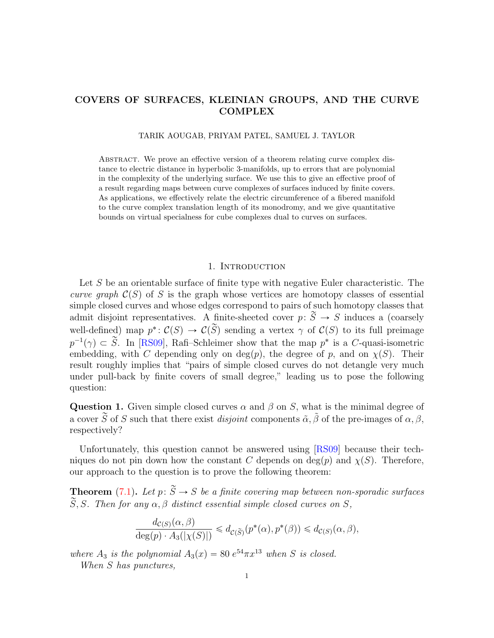# COVERS OF SURFACES, KLEINIAN GROUPS, AND THE CURVE **COMPLEX**

TARIK AOUGAB, PRIYAM PATEL, SAMUEL J. TAYLOR

Abstract. We prove an effective version of a theorem relating curve complex distance to electric distance in hyperbolic 3-manifolds, up to errors that are polynomial in the complexity of the underlying surface. We use this to give an effective proof of a result regarding maps between curve complexes of surfaces induced by finite covers. As applications, we effectively relate the electric circumference of a fibered manifold to the curve complex translation length of its monodromy, and we give quantitative bounds on virtual specialness for cube complexes dual to curves on surfaces.

# 1. INTRODUCTION

Let S be an orientable surface of finite type with negative Euler characteristic. The curve graph  $\mathcal{C}(S)$  of S is the graph whose vertices are homotopy classes of essential simple closed curves and whose edges correspond to pairs of such homotopy classes that admit disjoint representatives. A finite-sheeted cover  $p: \widetilde{S} \to S$  induces a (coarsely well-defined) map  $p^*: \mathcal{C}(S) \to \mathcal{C}(\widetilde{S})$  sending a vertex  $\gamma$  of  $\mathcal{C}(S)$  to its full preimage  $p^{-1}(\gamma) \subset \widetilde{S}$ . In [\[RS09\]](#page-29-0), Rafi–Schleimer show that the map  $p^*$  is a C-quasi-isometric embedding, with C depending only on  $deg(p)$ , the degree of p, and on  $\chi(S)$ . Their result roughly implies that "pairs of simple closed curves do not detangle very much under pull-back by finite covers of small degree," leading us to pose the following question:

<span id="page-0-0"></span>Question 1. Given simple closed curves  $\alpha$  and  $\beta$  on S, what is the minimal degree of a cover  $\tilde{S}$  of S such that there exist *disjoint* components  $\tilde{\alpha}$ ,  $\tilde{\beta}$  of the pre-images of  $\alpha$ ,  $\beta$ , respectively?

Unfortunately, this question cannot be answered using [\[RS09\]](#page-29-0) because their techniques do not pin down how the constant C depends on  $\deg(p)$  and  $\chi(S)$ . Therefore, our approach to the question is to prove the following theorem:

**Theorem** [\(7.1\)](#page-22-0). Let  $p: \widetilde{S} \to S$  be a finite covering map between non-sporadic surfaces  $\widetilde{S}, S$ . Then for any  $\alpha, \beta$  distinct essential simple closed curves on S,

$$
\frac{d_{\mathcal{C}(S)}(\alpha,\beta)}{\deg(p) \cdot A_3(|\chi(S)|)} \leq d_{\mathcal{C}(\widetilde{S})}(p^*(\alpha), p^*(\beta)) \leq d_{\mathcal{C}(S)}(\alpha,\beta),
$$

where  $A_3$  is the polynomial  $A_3(x) = 80 e^{54} \pi x^{13}$  when S is closed.

When S has punctures,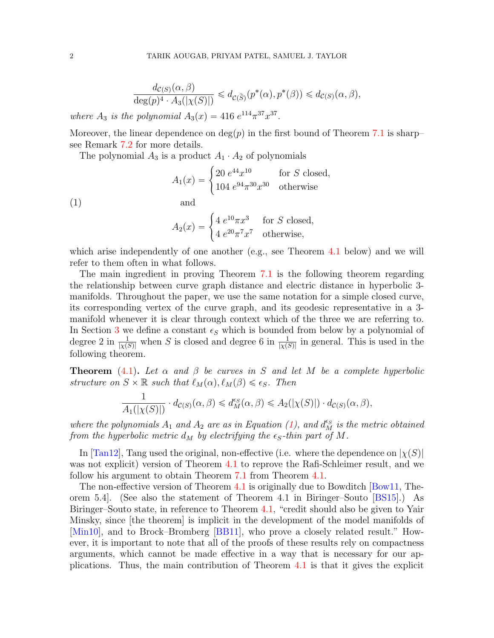$$
\frac{d_{\mathcal{C}(S)}(\alpha,\beta)}{\deg(p)^4 \cdot A_3(|\chi(S)|)} \leq d_{\mathcal{C}(\widetilde{S})}(p^*(\alpha),p^*(\beta)) \leq d_{\mathcal{C}(S)}(\alpha,\beta),
$$

where  $A_3$  is the polynomial  $A_3(x) = 416 e^{114} \pi^{37} x^{37}$ .

Moreover, the linear dependence on  $deg(p)$  in the first bound of Theorem [7.1](#page-22-0) is sharp– see Remark [7.2](#page-23-0) for more details.

The polynomial 
$$
A_3
$$
 is a product  $A_1 \cdot A_2$  of polynomials  
\n
$$
A_1(x) = \begin{cases} 20 e^{44} x^{10} & \text{for } S \text{ closed,} \\ 104 e^{94} \pi^{30} x^{30} & \text{otherwise} \end{cases}
$$

<span id="page-1-0"></span> $\text{(1)}$  and

and  

$$
A_2(x) = \begin{cases} 4 e^{10} \pi x^3 & \text{for } S \text{ closed,} \\ 4 e^{20} \pi^7 x^7 & \text{otherwise,} \end{cases}
$$

which arise independently of one another (e.g., see Theorem [4.1](#page-13-0) below) and we will refer to them often in what follows.

The main ingredient in proving Theorem [7.1](#page-22-0) is the following theorem regarding the relationship between curve graph distance and electric distance in hyperbolic 3 manifolds. Throughout the paper, we use the same notation for a simple closed curve, its corresponding vertex of the curve graph, and its geodesic representative in a 3 manifold whenever it is clear through context which of the three we are referring to. In Section [3](#page-6-0) we define a constant  $\epsilon_s$  which is bounded from below by a polynomial of degree 2 in  $\frac{1}{|\chi(S)|}$  when S is closed and degree 6 in  $\frac{1}{|\chi(S)|}$  in general. This is used in the following theorem.

**Theorem** [\(4.1\)](#page-13-0). Let  $\alpha$  and  $\beta$  be curves in S and let M be a complete hyperbolic structure on  $S \times \mathbb{R}$  such that  $\ell_M(\alpha), \ell_M(\beta) \leq \epsilon_S$ . Then

$$
\frac{1}{A_1(|\chi(S)|)} \cdot d_{\mathcal{C}(S)}(\alpha, \beta) \leq d_M^{\epsilon_S}(\alpha, \beta) \leq A_2(|\chi(S)|) \cdot d_{\mathcal{C}(S)}(\alpha, \beta),
$$

where the polynomials  $A_1$  and  $A_2$  are as in Equation [\(1\)](#page-1-0), and  $d_M^{\epsilon_S}$  is the metric obtained from the hyperbolic metric  $d_M$  by electrifying the  $\epsilon_S$ -thin part of M.

In [\[Tan12\]](#page-29-1), Tang used the original, non-effective (i.e. where the dependence on  $|\chi(S)|$ was not explicit) version of Theorem [4.1](#page-13-0) to reprove the Rafi-Schleimer result, and we follow his argument to obtain Theorem [7.1](#page-22-0) from Theorem [4.1.](#page-13-0)

The non-effective version of Theorem [4.1](#page-13-0) is originally due to Bowditch [\[Bow11,](#page-28-0) Theorem 5.4]. (See also the statement of Theorem 4.1 in Biringer–Souto [\[BS15\]](#page-28-1).) As Biringer–Souto state, in reference to Theorem [4.1,](#page-13-0) "credit should also be given to Yair Minsky, since [the theorem] is implicit in the development of the model manifolds of [\[Min10\]](#page-29-2), and to Brock–Bromberg [\[BB11\]](#page-28-2), who prove a closely related result." However, it is important to note that all of the proofs of these results rely on compactness arguments, which cannot be made effective in a way that is necessary for our applications. Thus, the main contribution of Theorem [4.1](#page-13-0) is that it gives the explicit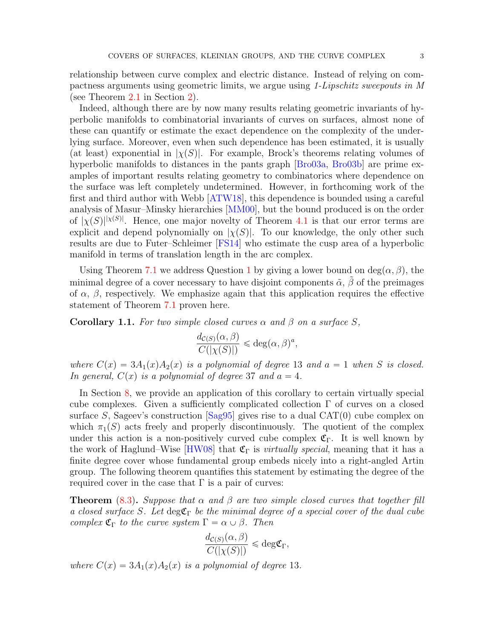relationship between curve complex and electric distance. Instead of relying on compactness arguments using geometric limits, we argue using 1-Lipschitz sweepouts in M (see Theorem [2.1](#page-6-1) in Section [2\)](#page-3-0).

Indeed, although there are by now many results relating geometric invariants of hyperbolic manifolds to combinatorial invariants of curves on surfaces, almost none of these can quantify or estimate the exact dependence on the complexity of the underlying surface. Moreover, even when such dependence has been estimated, it is usually (at least) exponential in  $|\chi(S)|$ . For example, Brock's theorems relating volumes of hyperbolic manifolds to distances in the pants graph [\[Bro03a,](#page-28-3) [Bro03b\]](#page-28-4) are prime examples of important results relating geometry to combinatorics where dependence on the surface was left completely undetermined. However, in forthcoming work of the first and third author with Webb [\[ATW18\]](#page-28-5), this dependence is bounded using a careful analysis of Masur–Minsky hierarchies [\[MM00\]](#page-29-3), but the bound produced is on the order of  $|\chi(S)|^{|\chi(S)|}$ . Hence, one major novelty of Theorem [4.1](#page-13-0) is that our error terms are explicit and depend polynomially on  $|\chi(S)|$ . To our knowledge, the only other such results are due to Futer–Schleimer [\[FS14\]](#page-29-4) who estimate the cusp area of a hyperbolic manifold in terms of translation length in the arc complex.

Using Theorem [7.1](#page-22-0) we address Question [1](#page-0-0) by giving a lower bound on  $deg(\alpha, \beta)$ , the minimal degree of a cover necessary to have disjoint components  $\tilde{\alpha}$ ,  $\tilde{\beta}$  of the preimages of  $\alpha$ ,  $\beta$ , respectively. We emphasize again that this application requires the effective statement of Theorem [7.1](#page-22-0) proven here.

<span id="page-2-0"></span>**Corollary 1.1.** For two simple closed curves  $\alpha$  and  $\beta$  on a surface S,

$$
\frac{d_{\mathcal{C}(S)}(\alpha,\beta)}{C(|\chi(S)|)} \leq \deg(\alpha,\beta)^a,
$$

where  $C(x) = 3A_1(x)A_2(x)$  is a polynomial of degree 13 and  $a = 1$  when S is closed. In general,  $C(x)$  is a polynomial of degree 37 and  $a = 4$ .

In Section [8,](#page-24-0) we provide an application of this corollary to certain virtually special cube complexes. Given a sufficiently complicated collection  $\Gamma$  of curves on a closed surface S, Sageev's construction  $\lceil \text{Sag95} \rceil$  gives rise to a dual CAT(0) cube complex on which  $\pi_1(S)$  acts freely and properly discontinuously. The quotient of the complex under this action is a non-positively curved cube complex  $\mathfrak{C}_{\Gamma}$ . It is well known by the work of Haglund–Wise  $[HW08]$  that  $\mathfrak{C}_{\Gamma}$  is *virtually special*, meaning that it has a finite degree cover whose fundamental group embeds nicely into a right-angled Artin group. The following theorem quantifies this statement by estimating the degree of the required cover in the case that  $\Gamma$  is a pair of curves:

**Theorem** [\(8.3\)](#page-25-0). Suppose that  $\alpha$  and  $\beta$  are two simple closed curves that together fill a closed surface S. Let  $\deg \mathfrak{C}_{\Gamma}$  be the minimal degree of a special cover of the dual cube complex  $\mathfrak{C}_{\Gamma}$  to the curve system  $\Gamma = \alpha \cup \beta$ . Then

$$
\frac{d_{\mathcal{C}(S)}(\alpha,\beta)}{C(|\chi(S)|)} \leq \deg \mathfrak{C}_{\Gamma},
$$

where  $C(x) = 3A_1(x)A_2(x)$  is a polynomial of degree 13.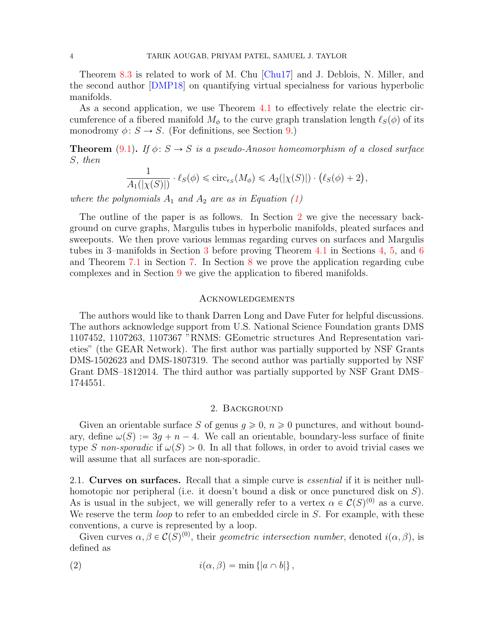Theorem [8.3](#page-25-0) is related to work of M. Chu [\[Chu17\]](#page-28-6) and J. Deblois, N. Miller, and the second author [\[DMP18\]](#page-29-7) on quantifying virtual specialness for various hyperbolic manifolds.

As a second application, we use Theorem [4.1](#page-13-0) to effectively relate the electric circumference of a fibered manifold  $M_{\phi}$  to the curve graph translation length  $\ell_S(\phi)$  of its monodromy  $\phi: S \to S$ . (For definitions, see Section [9.](#page-26-0))

**Theorem** [\(9.1\)](#page-26-1). If  $\phi: S \to S$  is a pseudo-Anosov homeomorphism of a closed surface S, then

$$
\frac{1}{A_1(|\chi(S)|)} \cdot \ell_S(\phi) \leq \mathrm{circ}_{\epsilon_S}(M_\phi) \leq A_2(|\chi(S)|) \cdot (\ell_S(\phi) + 2),
$$

where the polynomials  $A_1$  and  $A_2$  are as in Equation [\(1\)](#page-1-0)

The outline of the paper is as follows. In Section [2](#page-3-0) we give the necessary background on curve graphs, Margulis tubes in hyperbolic manifolds, pleated surfaces and sweepouts. We then prove various lemmas regarding curves on surfaces and Margulis tubes in 3–manifolds in Section [3](#page-6-0) before proving Theorem [4.1](#page-13-0) in Sections [4,](#page-13-1) [5,](#page-17-0) and [6](#page-21-0) and Theorem [7.1](#page-22-0) in Section [7.](#page-22-1) In Section [8](#page-24-0) we prove the application regarding cube complexes and in Section [9](#page-26-0) we give the application to fibered manifolds.

# **ACKNOWLEDGEMENTS**

The authors would like to thank Darren Long and Dave Futer for helpful discussions. The authors acknowledge support from U.S. National Science Foundation grants DMS 1107452, 1107263, 1107367 "RNMS: GEometric structures And Representation varieties" (the GEAR Network). The first author was partially supported by NSF Grants DMS-1502623 and DMS-1807319. The second author was partially supported by NSF Grant DMS–1812014. The third author was partially supported by NSF Grant DMS– 1744551.

### 2. Background

<span id="page-3-0"></span>Given an orientable surface S of genus  $q \geq 0$ ,  $n \geq 0$  punctures, and without boundary, define  $\omega(S) := 3g + n - 4$ . We call an orientable, boundary-less surface of finite type S non-sporadic if  $\omega(S) > 0$ . In all that follows, in order to avoid trivial cases we will assume that all surfaces are non-sporadic.

2.1. Curves on surfaces. Recall that a simple curve is *essential* if it is neither nullhomotopic nor peripheral (i.e. it doesn't bound a disk or once punctured disk on S). As is usual in the subject, we will generally refer to a vertex  $\alpha \in C(S)^{(0)}$  as a curve. We reserve the term *loop* to refer to an embedded circle in S. For example, with these conventions, a curve is represented by a loop.

Given curves  $\alpha, \beta \in C(S)^{(0)}$ , their geometric intersection number, denoted  $i(\alpha, \beta)$ , is defined as

(2) 
$$
i(\alpha, \beta) = \min \{|a \cap b|\},
$$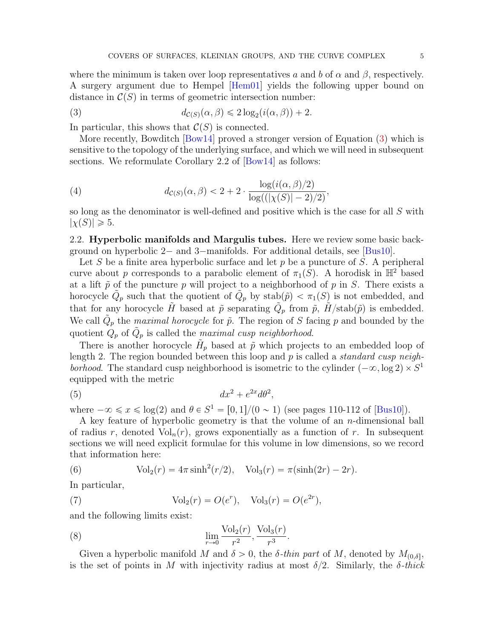where the minimum is taken over loop representatives a and b of  $\alpha$  and  $\beta$ , respectively. A surgery argument due to Hempel [\[Hem01\]](#page-29-8) yields the following upper bound on distance in  $\mathcal{C}(S)$  in terms of geometric intersection number:

<span id="page-4-0"></span>(3) 
$$
d_{\mathcal{C}(S)}(\alpha,\beta) \leq 2\log_2(i(\alpha,\beta)) + 2.
$$

In particular, this shows that  $\mathcal{C}(S)$  is connected.

More recently, Bowditch [\[Bow14\]](#page-28-7) proved a stronger version of Equation [\(3\)](#page-4-0) which is sensitive to the topology of the underlying surface, and which we will need in subsequent sections. We reformulate Corollary 2.2 of  $Bow14$  as follows:

<span id="page-4-2"></span>(4) 
$$
d_{\mathcal{C}(S)}(\alpha, \beta) < 2 + 2 \cdot \frac{\log(i(\alpha, \beta)/2)}{\log((|\chi(S)| - 2)/2)}
$$

so long as the denominator is well-defined and positive which is the case for all S with  $|\chi(S)| \geq 5.$ 

,

2.2. Hyperbolic manifolds and Margulis tubes. Here we review some basic background on hyperbolic  $2-$  and  $3-$ manifolds. For additional details, see [\[Bus10\]](#page-28-8).

Let S be a finite area hyperbolic surface and let  $p$  be a puncture of S. A peripheral curve about p corresponds to a parabolic element of  $\pi_1(S)$ . A horodisk in  $\mathbb{H}^2$  based at a lift  $\tilde{p}$  of the puncture p will project to a neighborhood of p in S. There exists a horocycle  $\tilde{Q}_p$  such that the quotient of  $\tilde{Q}_p$  by stab $(\tilde{p}) < \pi_1(S)$  is not embedded, and that for any horocycle  $\tilde{H}$  based at  $\tilde{p}$  separating  $\tilde{Q}_p$  from  $\tilde{p}$ ,  $\tilde{H}/\text{stab}(\tilde{p})$  is embedded. We call  $\tilde{Q}_p$  the *maximal horocycle* for  $\tilde{p}$ . The region of S facing p and bounded by the quotient  $\hat{Q}_p$  of  $\tilde{Q}_p$  is called the maximal cusp neighborhood.

There is another horocycle  $\tilde{H}_p$  based at  $\tilde{p}$  which projects to an embedded loop of length 2. The region bounded between this loop and p is called a *standard cusp neigh*borhood. The standard cusp neighborhood is isometric to the cylinder  $(-\infty, \log 2) \times S^1$ equipped with the metric

<span id="page-4-1"></span>
$$
(5) \t\t dx2 + e2x d\theta2,
$$

where  $-\infty \le x \le \log(2)$  and  $\theta \in S^1 = [0, 1]/(0 \sim 1)$  (see pages 110-112 of [\[Bus10\]](#page-28-8)).

A key feature of hyperbolic geometry is that the volume of an n-dimensional ball of radius r, denoted  $Vol_n(r)$ , grows exponentially as a function of r. In subsequent sections we will need explicit formulae for this volume in low dimensions, so we record that information here:

<span id="page-4-3"></span>(6) 
$$
Vol_2(r) = 4\pi \sinh^2(r/2), \quad Vol_3(r) = \pi (\sinh(2r) - 2r).
$$

In particular,

<span id="page-4-4"></span>(7) 
$$
Vol_2(r) = O(e^r), \quad Vol_3(r) = O(e^{2r}),
$$

and the following limits exist:

<span id="page-4-5"></span>(8) 
$$
\lim_{r \to 0} \frac{\text{Vol}_2(r)}{r^2}, \frac{\text{Vol}_3(r)}{r^3}.
$$

Given a hyperbolic manifold M and  $\delta > 0$ , the  $\delta$ -thin part of M, denoted by  $M_{(0,\delta]}$ , is the set of points in M with injectivity radius at most  $\delta/2$ . Similarly, the  $\delta$ -thick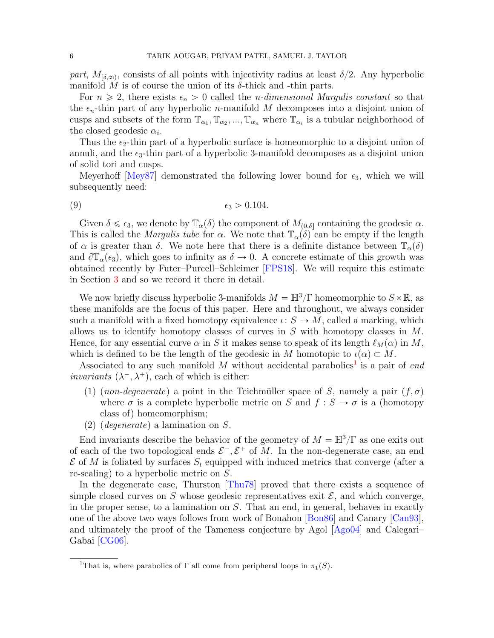part,  $M_{\delta,\infty}$ , consists of all points with injectivity radius at least  $\delta/2$ . Any hyperbolic manifold M is of course the union of its  $\delta$ -thick and -thin parts.

For  $n \geq 2$ , there exists  $\epsilon_n > 0$  called the *n*-dimensional Margulis constant so that the  $\epsilon_n$ -thin part of any hyperbolic *n*-manifold M decomposes into a disjoint union of cusps and subsets of the form  $\mathbb{T}_{\alpha_1}, \mathbb{T}_{\alpha_2}, ..., \mathbb{T}_{\alpha_n}$  where  $\mathbb{T}_{\alpha_i}$  is a tubular neighborhood of the closed geodesic  $\alpha_i$ .

Thus the  $\epsilon_2$ -thin part of a hyperbolic surface is homeomorphic to a disjoint union of annuli, and the  $\epsilon_3$ -thin part of a hyperbolic 3-manifold decomposes as a disjoint union of solid tori and cusps.

Meyerhoff [\[Mey87\]](#page-29-9) demonstrated the following lower bound for  $\epsilon_3$ , which we will subsequently need:

<span id="page-5-1"></span>
$$
\epsilon_3 > 0.104.
$$

Given  $\delta \leq \epsilon_3$ , we denote by  $\mathbb{T}_{\alpha}(\delta)$  the component of  $M_{(0,\delta]}$  containing the geodesic  $\alpha$ . This is called the *Margulis tube* for  $\alpha$ . We note that  $\mathbb{T}_{\alpha}(\delta)$  can be empty if the length of  $\alpha$  is greater than  $\delta$ . We note here that there is a definite distance between  $\mathbb{T}_{\alpha}(\delta)$ and  $\partial \mathbb{T}_{\alpha}(\epsilon_3)$ , which goes to infinity as  $\delta \to 0$ . A concrete estimate of this growth was obtained recently by Futer–Purcell–Schleimer [\[FPS18\]](#page-29-10). We will require this estimate in Section [3](#page-6-0) and so we record it there in detail.

We now briefly discuss hyperbolic 3-manifolds  $M = \mathbb{H}^3/\Gamma$  homeomorphic to  $S \times \mathbb{R}$ , as these manifolds are the focus of this paper. Here and throughout, we always consider such a manifold with a fixed homotopy equivalence  $\iota: S \to M$ , called a marking, which allows us to identify homotopy classes of curves in S with homotopy classes in M. Hence, for any essential curve  $\alpha$  in S it makes sense to speak of its length  $\ell_M(\alpha)$  in M, which is defined to be the length of the geodesic in M homotopic to  $\iota(\alpha) \subset M$ .

Associated to any such manifold M without accidental parabolics<sup>[1](#page-5-0)</sup> is a pair of end *invariants*  $(\lambda^-, \lambda^+)$ , each of which is either:

- (1) (non-degenerate) a point in the Teichmüller space of S, namely a pair  $(f, \sigma)$ where  $\sigma$  is a complete hyperbolic metric on S and  $f : S \to \sigma$  is a (homotopy class of) homeomorphism;
- (2) (degenerate) a lamination on S.

End invariants describe the behavior of the geometry of  $M = \mathbb{H}^3/\Gamma$  as one exits out of each of the two topological ends  $\mathcal{E}^-, \mathcal{E}^+$  of M. In the non-degenerate case, an end  $\mathcal E$  of M is foliated by surfaces  $S_t$  equipped with induced metrics that converge (after a re-scaling) to a hyperbolic metric on S.

In the degenerate case, Thurston [\[Thu78\]](#page-29-11) proved that there exists a sequence of simple closed curves on S whose geodesic representatives exit  $\mathcal{E}$ , and which converge, in the proper sense, to a lamination on  $S$ . That an end, in general, behaves in exactly one of the above two ways follows from work of Bonahon [\[Bon86\]](#page-28-9) and Canary [\[Can93\]](#page-28-10), and ultimately the proof of the Tameness conjecture by Agol [\[Ago04\]](#page-28-11) and Calegari– Gabai [\[CG06\]](#page-28-12).

<span id="page-5-0"></span><sup>&</sup>lt;sup>1</sup>That is, where parabolics of Γ all come from peripheral loops in  $\pi_1(S)$ .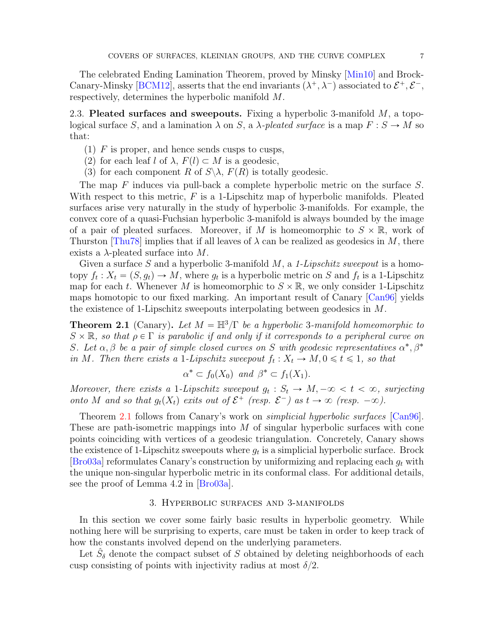The celebrated Ending Lamination Theorem, proved by Minsky [\[Min10\]](#page-29-2) and Brock-Canary-Minsky [\[BCM12\]](#page-28-13), asserts that the end invariants  $(\lambda^+, \lambda^-)$  associated to  $\mathcal{E}^+, \mathcal{E}^-,$ respectively, determines the hyperbolic manifold M.

2.3. Pleated surfaces and sweepouts. Fixing a hyperbolic 3-manifold  $M$ , a topological surface S, and a lamination  $\lambda$  on S, a  $\lambda$ -pleated surface is a map  $F : S \to M$  so that:

- $(1)$  F is proper, and hence sends cusps to cusps,
- (2) for each leaf l of  $\lambda$ ,  $F(l) \subset M$  is a geodesic,
- (3) for each component R of  $S \setminus \lambda$ ,  $F(R)$  is totally geodesic.

The map F induces via pull-back a complete hyperbolic metric on the surface S. With respect to this metric,  $F$  is a 1-Lipschitz map of hyperbolic manifolds. Pleated surfaces arise very naturally in the study of hyperbolic 3-manifolds. For example, the convex core of a quasi-Fuchsian hyperbolic 3-manifold is always bounded by the image of a pair of pleated surfaces. Moreover, if M is homeomorphic to  $S \times \mathbb{R}$ , work of Thurston [\[Thu78\]](#page-29-11) implies that if all leaves of  $\lambda$  can be realized as geodesics in M, there exists a  $\lambda$ -pleated surface into M.

Given a surface S and a hyperbolic 3-manifold  $M$ , a 1-Lipschitz sweepout is a homotopy  $f_t: X_t = (S, g_t) \to M$ , where  $g_t$  is a hyperbolic metric on S and  $f_t$  is a 1-Lipschitz map for each t. Whenever M is homeomorphic to  $S \times \mathbb{R}$ , we only consider 1-Lipschitz maps homotopic to our fixed marking. An important result of Canary [\[Can96\]](#page-28-14) yields the existence of 1-Lipschitz sweepouts interpolating between geodesics in M.

<span id="page-6-1"></span>**Theorem 2.1** (Canary). Let  $M = \mathbb{H}^3/\Gamma$  be a hyperbolic 3-manifold homeomorphic to  $S \times \mathbb{R}$ , so that  $\rho \in \Gamma$  is parabolic if and only if it corresponds to a peripheral curve on S. Let  $\alpha, \beta$  be a pair of simple closed curves on S with geodesic representatives  $\alpha^*, \beta^*$ in M. Then there exists a 1-Lipschitz sweepout  $f_t: X_t \to M, 0 \leq t \leq 1$ , so that

$$
\alpha^* \subset f_0(X_0) \text{ and } \beta^* \subset f_1(X_1).
$$

Moreover, there exists a 1-Lipschitz sweepout  $g_t : S_t \to M, -\infty < t < \infty$ , surjecting onto M and so that  $g_t(X_t)$  exits out of  $\mathcal{E}^+$  (resp.  $\mathcal{E}^-$ ) as  $t \to \infty$  (resp.  $-\infty$ ).

Theorem [2.1](#page-6-1) follows from Canary's work on *simplicial hyperbolic surfaces* [\[Can96\]](#page-28-14). These are path-isometric mappings into  $M$  of singular hyperbolic surfaces with cone points coinciding with vertices of a geodesic triangulation. Concretely, Canary shows the existence of 1-Lipschitz sweepouts where  $g_t$  is a simplicial hyperbolic surface. Brock  $[Bro03a]$  reformulates Canary's construction by uniformizing and replacing each  $g_t$  with the unique non-singular hyperbolic metric in its conformal class. For additional details, see the proof of Lemma 4.2 in [\[Bro03a\]](#page-28-3).

#### 3. Hyperbolic surfaces and 3-manifolds

<span id="page-6-0"></span>In this section we cover some fairly basic results in hyperbolic geometry. While nothing here will be surprising to experts, care must be taken in order to keep track of how the constants involved depend on the underlying parameters.

<span id="page-6-2"></span>Let  $\hat{S}_\delta$  denote the compact subset of S obtained by deleting neighborhoods of each cusp consisting of points with injectivity radius at most  $\delta/2$ .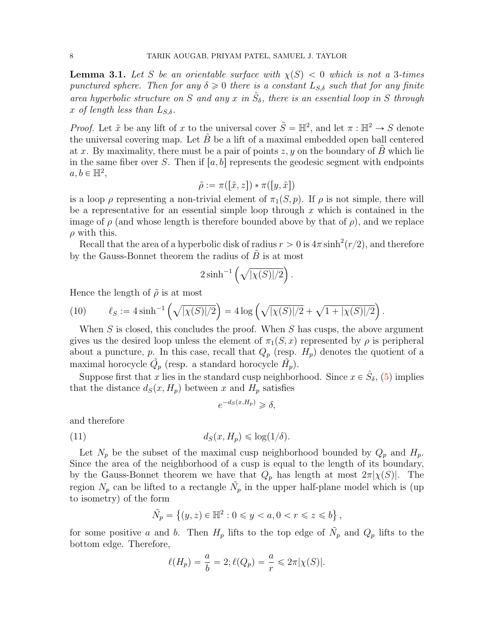**Lemma 3.1.** Let S be an orientable surface with  $\chi(S) < 0$  which is not a 3-times punctured sphere. Then for any  $\delta \geq 0$  there is a constant  $L_{S,\delta}$  such that for any finite area hyperbolic structure on S and any x in  $\hat{S}_\delta$ , there is an essential loop in S through x of length less than  $L_{S,\delta}$ .

*Proof.* Let  $\tilde{x}$  be any lift of x to the universal cover  $\tilde{S} = \mathbb{H}^2$ , and let  $\pi : \mathbb{H}^2 \to S$  denote the universal covering map. Let  $B$  be a lift of a maximal embedded open ball centered at x. By maximality, there must be a pair of points  $z, y$  on the boundary of B which lie in the same fiber over S. Then if  $|a, b|$  represents the geodesic segment with endpoints  $a, b \in \mathbb{H}^2$ ,

$$
\tilde{\rho} := \pi([\tilde{x}, z]) * \pi([y, \tilde{x}])
$$

is a loop  $\rho$  representing a non-trivial element of  $\pi_1(S, p)$ . If  $\rho$  is not simple, there will be a representative for an essential simple loop through  $x$  which is contained in the image of  $\rho$  (and whose length is therefore bounded above by that of  $\rho$ ), and we replace  $\rho$  with this.

Recall that the area of a hyperbolic disk of radius  $r > 0$  is  $4\pi \sinh^2(r/2)$ , and therefore by the Gauss-Bonnet theorem the radius of  $\tilde{B}$  is at most  $\alpha$ 

$$
2\sinh^{-1}\left(\sqrt{|\chi(S)|/2}\right).
$$

Hence the length of  $\tilde{\rho}$  is at most

<span id="page-7-0"></span>(10) 
$$
\ell_S := 4 \sinh^{-1} \left( \sqrt{|\chi(S)|/2} \right) = 4 \log \left( \sqrt{|\chi(S)|/2} + \sqrt{1 + |\chi(S)|/2} \right).
$$

When S is closed, this concludes the proof. When S has cusps, the above argument gives us the desired loop unless the element of  $\pi_1(S, x)$  represented by  $\rho$  is peripheral about a puncture, p. In this case, recall that  $Q_p$  (resp.  $H_p$ ) denotes the quotient of a maximal horocycle  $\tilde{Q}_p$  (resp. a standard horocycle  $\tilde{H}_p$ ).

Suppose first that x lies in the standard cusp neighborhood. Since  $x \in \hat{S}_\delta$ , [\(5\)](#page-4-1) implies that the distance  $d_S(x, H_p)$  between x and  $H_p$  satisfies

$$
e^{-d_S(x,H_p)} \ge \delta,
$$

and therefore

(11) 
$$
d_S(x, H_p) \leq \log(1/\delta).
$$

Let  $N_p$  be the subset of the maximal cusp neighborhood bounded by  $Q_p$  and  $H_p$ . Since the area of the neighborhood of a cusp is equal to the length of its boundary, by the Gauss-Bonnet theorem we have that  $Q_p$  has length at most  $2\pi |\chi(S)|$ . The region  $N_p$  can be lifted to a rectangle  $\tilde{N_p}$  in the upper half-plane model which is (up to isometry) of the form i. (

$$
\tilde{N}_p = \{(y, z) \in \mathbb{H}^2 : 0 \le y < a, 0 < r \le z \le b\},\
$$

for some positive a and b. Then  $H_p$  lifts to the top edge of  $\tilde{N_p}$  and  $Q_p$  lifts to the bottom edge. Therefore,

$$
\ell(H_p) = \frac{a}{b} = 2; \ell(Q_p) = \frac{a}{r} \leq 2\pi |\chi(S)|.
$$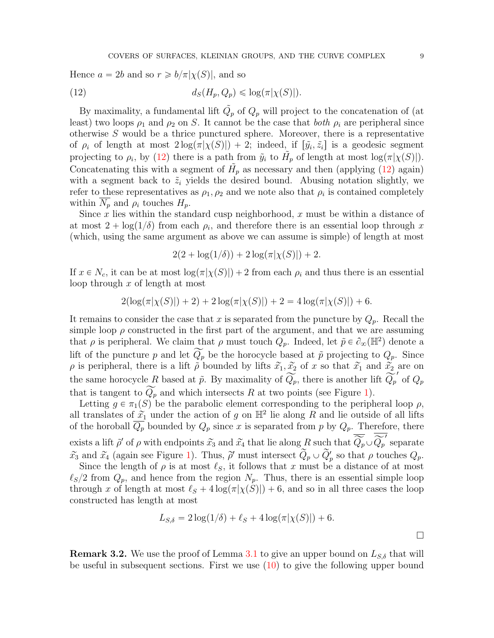Hence  $a = 2b$  and so  $r \ge b/\pi|\chi(S)|$ , and so

<span id="page-8-0"></span>(12) 
$$
d_S(H_p, Q_p) \leq \log(\pi |\chi(S)|).
$$

By maximality, a fundamental lift  $\tilde{Q}_p$  of  $Q_p$  will project to the concatenation of (at least) two loops  $\rho_1$  and  $\rho_2$  on S. It cannot be the case that both  $\rho_i$  are peripheral since otherwise S would be a thrice punctured sphere. Moreover, there is a representative of  $\rho_i$  of length at most  $2\log(\pi|\chi(S)|) + 2$ ; indeed, if  $[\tilde{y}_i, \tilde{z}_i]$  is a geodesic segment projecting to  $\rho_i$ , by [\(12\)](#page-8-0) there is a path from  $\tilde{y}_i$  to  $\tilde{H}_p$  of length at most  $\log(\pi|\chi(S)|)$ . Concatenating this with a segment of  $H_p$  as necessary and then (applying [\(12\)](#page-8-0) again) with a segment back to  $\tilde{z}_i$  yields the desired bound. Abusing notation slightly, we refer to these representatives as  $\rho_1, \rho_2$  and we note also that  $\rho_i$  is contained completely within  $N_p$  and  $\rho_i$  touches  $H_p$ .

Since  $x$  lies within the standard cusp neighborhood,  $x$  must be within a distance of at most  $2 + \log(1/\delta)$  from each  $\rho_i$ , and therefore there is an essential loop through x (which, using the same argument as above we can assume is simple) of length at most

$$
2(2 + \log(1/\delta)) + 2\log(\pi|\chi(S)|) + 2.
$$

If  $x \in N_c$ , it can be at most  $\log(\pi|\chi(S)|) + 2$  from each  $\rho_i$  and thus there is an essential loop through x of length at most

$$
2(\log(\pi|\chi(S)|) + 2) + 2\log(\pi|\chi(S)|) + 2 = 4\log(\pi|\chi(S)|) + 6.
$$

It remains to consider the case that x is separated from the puncture by  $Q_p$ . Recall the simple loop  $\rho$  constructed in the first part of the argument, and that we are assuming that  $\rho$  is peripheral. We claim that  $\rho$  must touch  $Q_p$ . Indeed, let  $\tilde{p} \in \partial_{\infty}(\mathbb{H}^2)$  denote a lift of the puncture p and let  $\widetilde{Q_p}$  be the horocycle based at  $\widetilde{p}$  projecting to  $Q_p$ . Since  $\rho$  is peripheral, there is a lift  $\tilde{\rho}$  bounded by lifts  $\tilde{x_1}, \tilde{x_2}$  of x so that  $\tilde{x_1}$  and  $\tilde{x_2}$  are on the same horocycle R based at  $\tilde{p}$ . By maximality of  $\widetilde{Q_p}$ , there is another lift  $\widetilde{Q_p}'$  of  $Q_p$ that is tangent to  $\widetilde{Q_p}$  and which intersects R at two points (see Figure [1\)](#page-9-0).

Letting  $g \in \pi_1(S)$  be the parabolic element corresponding to the peripheral loop  $\rho$ , all translates of  $\tilde{x}_1$  under the action of g on  $\mathbb{H}^2$  lie along R and lie outside of all lifts of the horoball  $\overline{Q_p}$  bounded by  $Q_p$  since x is separated from p by  $Q_p$ . Therefore, there exists a lift  $\tilde{\rho}'$  of  $\rho$  with endpoints  $\widetilde{x_3}$  and  $\widetilde{x_4}$  that lie along R such that  $\overline{\widetilde{Q_p}} \cup \overline{\widetilde{Q_p}}'$  separate  $\widetilde{x}_3$  and  $\widetilde{x}_4$  (again see Figure [1\)](#page-9-0). Thus,  $\widetilde{\rho}'$  must intersect  $\widetilde{Q}_p \cup \widetilde{Q}'_p$  so that  $\rho$  touches  $Q_p$ .

Since the length of  $\rho$  is at most  $\ell_S$ , it follows that x must be a distance of at most  $\ell_S/2$  from  $Q_p$ , and hence from the region  $N_p$ . Thus, there is an essential simple loop through x of length at most  $\ell_S + 4 \log(\pi|\chi(S)|) + 6$ , and so in all three cases the loop constructed has length at most

$$
L_{S,\delta} = 2\log(1/\delta) + \ell_S + 4\log(\pi|\chi(S)|) + 6.
$$

<span id="page-8-1"></span>**Remark 3.2.** We use the proof of Lemma [3.1](#page-6-2) to give an upper bound on  $L_{S,\delta}$  that will be useful in subsequent sections. First we use [\(10\)](#page-7-0) to give the following upper bound

 $\Box$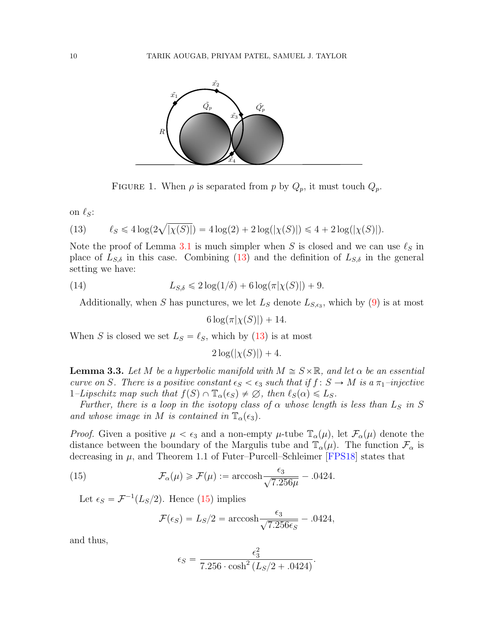

<span id="page-9-1"></span><span id="page-9-0"></span>FIGURE 1. When  $\rho$  is separated from p by  $Q_p$ , it must touch  $Q_p$ .

on  $\ell_S$ :

(13) 
$$
\ell_S \leq 4\log(2\sqrt{|\chi(S)|}) = 4\log(2) + 2\log(|\chi(S)|) \leq 4 + 2\log(|\chi(S)|).
$$

Note the proof of Lemma [3.1](#page-6-2) is much simpler when S is closed and we can use  $\ell_S$  in place of  $L_{S,\delta}$  in this case. Combining [\(13\)](#page-9-1) and the definition of  $L_{S,\delta}$  in the general setting we have:

(14) 
$$
L_{S,\delta} \leq 2\log(1/\delta) + 6\log(\pi|\chi(S)|) + 9.
$$

Additionally, when S has punctures, we let  $L_S$  denote  $L_{S,\epsilon_3}$ , which by [\(9\)](#page-5-1) is at most

<span id="page-9-4"></span>
$$
6\log(\pi|\chi(S)|)+14.
$$

When S is closed we set  $L_S = \ell_S$ , which by [\(13\)](#page-9-1) is at most

 $2 \log(|\chi(S)|) + 4.$ 

<span id="page-9-3"></span>**Lemma 3.3.** Let M be a hyperbolic manifold with  $M \cong S \times \mathbb{R}$ , and let  $\alpha$  be an essential curve on S. There is a positive constant  $\epsilon_S < \epsilon_3$  such that if  $f : S \to M$  is a  $\pi_1$ -injective  $1$ –Lipschitz map such that  $f(S) \cap \mathbb{T}_{\alpha}(\epsilon_S) \neq \emptyset$ , then  $\ell_S(\alpha) \leq L_S$ .

Further, there is a loop in the isotopy class of  $\alpha$  whose length is less than  $L_S$  in S and whose image in M is contained in  $\mathbb{T}_{\alpha}(\epsilon_3)$ .

*Proof.* Given a positive  $\mu < \epsilon_3$  and a non-empty  $\mu$ -tube  $\mathbb{T}_\alpha(\mu)$ , let  $\mathcal{F}_\alpha(\mu)$  denote the distance between the boundary of the Margulis tube and  $\mathbb{T}_{\alpha}(\mu)$ . The function  $\mathcal{F}_{\alpha}$  is decreasing in  $\mu$ , and Theorem 1.1 of Futer–Purcell–Schleimer [\[FPS18\]](#page-29-10) states that

(15) 
$$
\mathcal{F}_{\alpha}(\mu) \ge \mathcal{F}(\mu) := \operatorname{arccosh} \frac{\epsilon_3}{\sqrt{7.256\mu}} - .0424.
$$

Let  $\epsilon_S = \mathcal{F}^{-1}(L_S/2)$ . Hence [\(15\)](#page-9-2) implies

<span id="page-9-2"></span>
$$
\mathcal{F}(\epsilon_S) = L_S/2 = \operatorname{arccosh} \frac{\epsilon_3}{\sqrt{7.256 \epsilon_S}} - .0424,
$$

and thus,

$$
\epsilon_S = \frac{\epsilon_3^2}{7.256 \cdot \cosh^2 (L_S/2 + .0424)}.
$$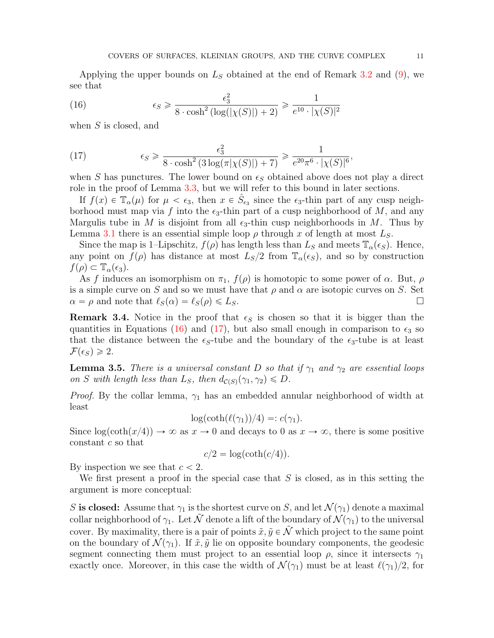Applying the upper bounds on  $L<sub>S</sub>$  obtained at the end of Remark [3.2](#page-8-1) and [\(9\)](#page-5-1), we see that

<span id="page-10-0"></span>(16) 
$$
\epsilon_S \geqslant \frac{\epsilon_3^2}{8 \cdot \cosh^2(\log(|\chi(S)|) + 2)} \geqslant \frac{1}{e^{10} \cdot |\chi(S)|^2}
$$

when  $S$  is closed, and

<span id="page-10-1"></span>(17) 
$$
\epsilon_S \geqslant \frac{\epsilon_3^2}{8 \cdot \cosh^2\left(3\log(\pi|\chi(S)|)+7\right)} \geqslant \frac{1}{e^{20}\pi^6 \cdot |\chi(S)|^6},
$$

when S has punctures. The lower bound on  $\epsilon_S$  obtained above does not play a direct role in the proof of Lemma [3.3,](#page-9-3) but we will refer to this bound in later sections.

If  $f(x) \in \mathbb{T}_{\alpha}(\mu)$  for  $\mu < \epsilon_3$ , then  $x \in \hat{S}_{\epsilon_3}$  since the  $\epsilon_3$ -thin part of any cusp neighborhood must map via f into the  $\epsilon_3$ -thin part of a cusp neighborhood of M, and any Margulis tube in M is disjoint from all  $\epsilon_3$ -thin cusp neighborhoods in M. Thus by Lemma [3.1](#page-6-2) there is an essential simple loop  $\rho$  through x of length at most  $L_S$ .

Since the map is 1–Lipschitz,  $f(\rho)$  has length less than  $L_S$  and meets  $\mathbb{T}_{\alpha}(\epsilon_S)$ . Hence, any point on  $f(\rho)$  has distance at most  $L_s/2$  from  $\mathbb{T}_{\alpha}(\epsilon_s)$ , and so by construction  $f(\rho) \subset \mathbb{T}_{\alpha}(\epsilon_3).$ 

As f induces an isomorphism on  $\pi_1$ ,  $f(\rho)$  is homotopic to some power of  $\alpha$ . But,  $\rho$ is a simple curve on S and so we must have that  $\rho$  and  $\alpha$  are isotopic curves on S. Set  $\alpha = \rho$  and note that  $\ell_S(\alpha) = \ell_S(\rho) \leq L_S$ .

<span id="page-10-3"></span>**Remark 3.4.** Notice in the proof that  $\epsilon_s$  is chosen so that it is bigger than the quantities in Equations [\(16\)](#page-10-0) and [\(17\)](#page-10-1), but also small enough in comparison to  $\epsilon_3$  so that the distance between the  $\epsilon_s$ -tube and the boundary of the  $\epsilon_s$ -tube is at least  $\mathcal{F}(\epsilon_S) \geqslant 2.$ 

<span id="page-10-2"></span>**Lemma 3.5.** There is a universal constant D so that if  $\gamma_1$  and  $\gamma_2$  are essential loops on S with length less than  $L_S$ , then  $d_{\mathcal{C}(S)}(\gamma_1, \gamma_2) \leq D$ .

*Proof.* By the collar lemma,  $\gamma_1$  has an embedded annular neighborhood of width at least

$$
\log(\coth(\ell(\gamma_1))/4) =: c(\gamma_1).
$$

Since  $\log(\coth(x/4)) \to \infty$  as  $x \to 0$  and decays to 0 as  $x \to \infty$ , there is some positive constant  $c$  so that

$$
c/2 = \log(\coth(c/4)).
$$

By inspection we see that  $c < 2$ .

We first present a proof in the special case that  $S$  is closed, as in this setting the argument is more conceptual:

S is closed: Assume that  $\gamma_1$  is the shortest curve on S, and let  $\mathcal{N}(\gamma_1)$  denote a maximal collar neighborhood of  $\gamma_1$ . Let  $\tilde{\mathcal{N}}$  denote a lift of the boundary of  $\mathcal{N}(\gamma_1)$  to the universal cover. By maximality, there is a pair of points  $\tilde{x}, \tilde{y} \in \tilde{\mathcal{N}}$  which project to the same point on the boundary of  $\mathcal{N}(\gamma_1)$ . If  $\tilde{x}, \tilde{y}$  lie on opposite boundary components, the geodesic segment connecting them must project to an essential loop  $\rho$ , since it intersects  $\gamma_1$ exactly once. Moreover, in this case the width of  $\mathcal{N}(\gamma_1)$  must be at least  $\ell(\gamma_1)/2$ , for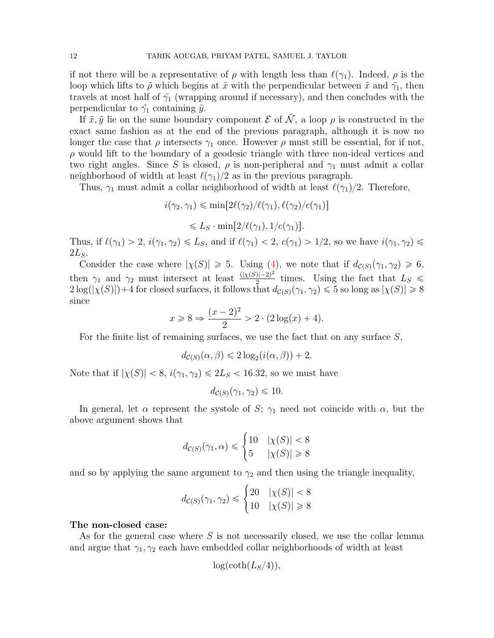if not there will be a representative of  $\rho$  with length less than  $\ell(\gamma_1)$ . Indeed,  $\rho$  is the loop which lifts to  $\tilde{\rho}$  which begins at  $\tilde{x}$  with the perpendicular between  $\tilde{x}$  and  $\tilde{\gamma}_1$ , then travels at most half of  $\tilde{\gamma}_1$  (wrapping around if necessary), and then concludes with the perpendicular to  $\tilde{\gamma}_1$  containing  $\tilde{y}$ .

If  $\tilde{x}, \tilde{y}$  lie on the same boundary component  $\mathcal E$  of  $\tilde{\mathcal N}$ , a loop  $\rho$  is constructed in the exact same fashion as at the end of the previous paragraph, although it is now no longer the case that  $\rho$  intersects  $\gamma_1$  once. However  $\rho$  must still be essential, for if not,  $\rho$  would lift to the boundary of a geodesic triangle with three non-ideal vertices and two right angles. Since S is closed,  $\rho$  is non-peripheral and  $\gamma_1$  must admit a collar neighborhood of width at least  $\ell(\gamma_1)/2$  as in the previous paragraph.

Thus,  $\gamma_1$  must admit a collar neighborhood of width at least  $\ell(\gamma_1)/2$ . Therefore,

$$
i(\gamma_2, \gamma_1) \le \min[2\ell(\gamma_2)/\ell(\gamma_1), \ell(\gamma_2)/c(\gamma_1)]
$$
  

$$
\le L_S \cdot \min[2/\ell(\gamma_1), 1/c(\gamma_1)].
$$

Thus, if  $\ell(\gamma_1) > 2$ ,  $i(\gamma_1, \gamma_2) \leq L_S$ , and if  $\ell(\gamma_1) < 2$ ,  $c(\gamma_1) > 1/2$ , so we have  $i(\gamma_1, \gamma_2) \leq$  $2L<sub>S</sub>$ .

Consider the case where  $|\chi(S)| \geq 5$ . Using [\(4\)](#page-4-2), we note that if  $d_{\mathcal{C}(S)}(\gamma_1, \gamma_2) \geq 6$ , then  $\gamma_1$  and  $\gamma_2$  must intersect at least  $\frac{(|\chi(S)|-2)^2}{2}$  $\frac{2}{2}$  times. Using the fact that  $L_S \leq$  $2\log(|\chi(S)|)+4$  for closed surfaces, it follows that  $d_{\mathcal{C}(S)}(\gamma_1, \gamma_2) \leq 5$  so long as  $|\chi(S)| \geq 8$ since

$$
x \ge 8 \Rightarrow \frac{(x-2)^2}{2} > 2 \cdot (2 \log(x) + 4).
$$

For the finite list of remaining surfaces, we use the fact that on any surface  $S$ ,

$$
d_{\mathcal{C}(S)}(\alpha, \beta) \leq 2 \log_2(i(\alpha, \beta)) + 2.
$$

Note that if  $|\chi(S)| < 8$ ,  $i(\gamma_1, \gamma_2) \le 2L_S < 16.32$ , so we must have

$$
d_{\mathcal{C}(S)}(\gamma_1, \gamma_2) \leq 10.
$$

In general, let  $\alpha$  represent the systole of S;  $\gamma_1$  need not coincide with  $\alpha$ , but the above argument shows that

$$
d_{\mathcal{C}(S)}(\gamma_1, \alpha) \leq \begin{cases} 10 & |\chi(S)| < 8\\ 5 & |\chi(S)| \geq 8 \end{cases}
$$

and so by applying the same argument to  $\gamma_2$  and then using the triangle inequality,

$$
d_{\mathcal{C}(S)}(\gamma_1, \gamma_2) \leq \begin{cases} 20 & |\chi(S)| < 8\\ 10 & |\chi(S)| \geq 8 \end{cases}
$$

### The non-closed case:

As for the general case where S is not necessarily closed, we use the collar lemma and argue that  $\gamma_1, \gamma_2$  each have embedded collar neighborhoods of width at least

$$
\log(\coth(L_S/4)),
$$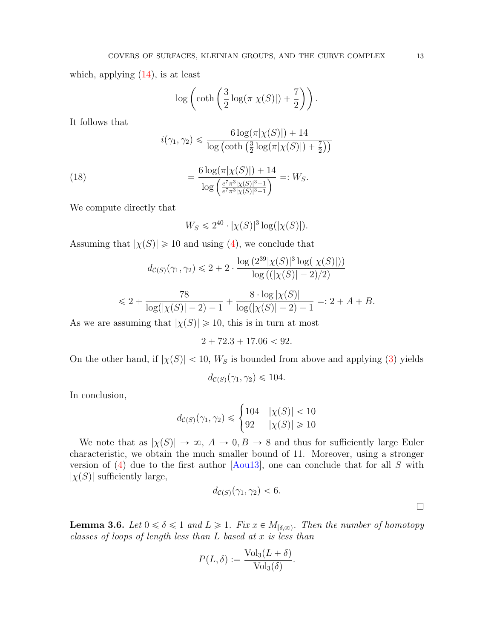which, applying  $(14)$ , is at least

$$
\log\left(\coth\left(\frac{3}{2}\log(\pi|\chi(S)|)+\frac{7}{2}\right)\right).
$$

It follows that

$$
i(\gamma_1, \gamma_2) \leq \frac{6 \log(\pi|\chi(S)|) + 14}{\log\left(\coth\left(\frac{3}{2}\log(\pi|\chi(S)|) + \frac{7}{2}\right)\right)}
$$

(18) 
$$
= \frac{6 \log(\pi |\chi(S)|) + 14}{\log\left(\frac{e^{\tau} \pi^3 |\chi(S)|^3 + 1}{e^{\tau} \pi^3 |\chi(S)|^3 - 1}\right)} =: W_S.
$$

We compute directly that

$$
W_S \leq 2^{40} \cdot |\chi(S)|^3 \log(|\chi(S)|).
$$

Assuming that  $|\chi(S)| \geq 10$  and using [\(4\)](#page-4-2), we conclude that

$$
d_{\mathcal{C}(S)}(\gamma_1, \gamma_2) \leq 2 + 2 \cdot \frac{\log(2^{39}|\chi(S)|^3 \log(|\chi(S)|))}{\log((|\chi(S)| - 2)/2)}
$$

$$
\leq 2 + \frac{78}{\log(|\chi(S)| - 2) - 1} + \frac{8 \cdot \log |\chi(S)|}{\log(|\chi(S)| - 2) - 1} = 2 + A + B.
$$

As we are assuming that  $|\chi(S)| \geq 10$ , this is in turn at most

$$
2 + 72.3 + 17.06 < 92.
$$

On the other hand, if  $|\chi(S)| < 10$ ,  $W_S$  is bounded from above and applying [\(3\)](#page-4-0) yields

$$
d_{\mathcal{C}(S)}(\gamma_1, \gamma_2) \leq 104.
$$

In conclusion,

$$
d_{\mathcal{C}(S)}(\gamma_1, \gamma_2) \leqslant \begin{cases} 104 & |\chi(S)| < 10 \\ 92 & |\chi(S)| \geqslant 10 \end{cases}
$$

We note that as  $|\chi(S)| \to \infty$ ,  $A \to 0$ ,  $B \to 8$  and thus for sufficiently large Euler characteristic, we obtain the much smaller bound of 11. Moreover, using a stronger version of  $(4)$  due to the first author  $[Aou13]$ , one can conclude that for all S with  $|\chi(S)|$  sufficiently large,

$$
d_{\mathcal{C}(S)}(\gamma_1, \gamma_2) < 6.
$$

<span id="page-12-0"></span>**Lemma 3.6.** Let  $0 \le \delta \le 1$  and  $L \ge 1$ . Fix  $x \in M_{[\delta,\infty)}$ . Then the number of homotopy classes of loops of length less than L based at x is less than

$$
P(L,\delta) := \frac{\text{Vol}_3(L+\delta)}{\text{Vol}_3(\delta)}.
$$

 $\Box$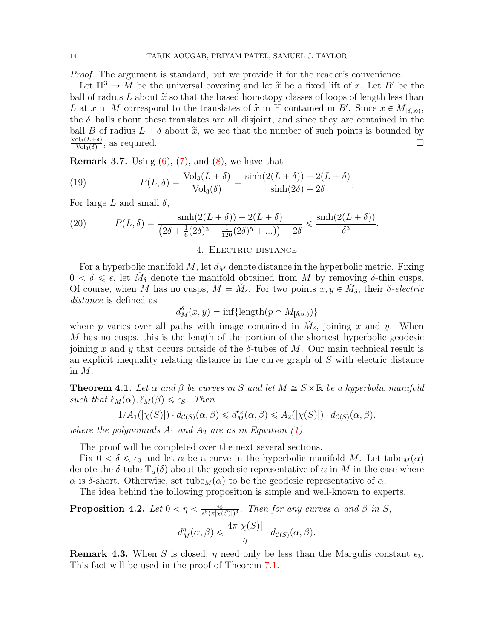Proof. The argument is standard, but we provide it for the reader's convenience.

Let  $\mathbb{H}^3 \to M$  be the universal covering and let  $\tilde{x}$  be a fixed lift of x. Let B' be the ball of radius L about  $\tilde{x}$  so that the based homotopy classes of loops of length less than L at x in M correspond to the translates of  $\tilde{x}$  in  $\mathbb{H}$  contained in B'. Since  $x \in M_{\lbrack \delta,\infty)}$ , the  $\delta$ -balls about these translates are all disjoint, and since they are contained in the ball B of radius  $L + \delta$  about  $\tilde{x}$ , we see that the number of such points is bounded by  $\text{Vol}_3(L+\delta)$  $\frac{\text{ol}_3(L+\delta)}{\text{Vol}_3(\delta)}$ , as required.

<span id="page-13-3"></span>**Remark 3.7.** Using  $(6)$ ,  $(7)$ , and  $(8)$ , we have that

(19) 
$$
P(L,\delta) = \frac{\text{Vol}_3(L+\delta)}{\text{Vol}_3(\delta)} = \frac{\sinh(2(L+\delta)) - 2(L+\delta)}{\sinh(2\delta) - 2\delta},
$$

For large L and small  $\delta$ ,

(20) 
$$
P(L,\delta) = \frac{\sinh(2(L+\delta)) - 2(L+\delta)}{(2\delta + \frac{1}{6}(2\delta)^3 + \frac{1}{120}(2\delta)^5 + \ldots)} - 2\delta \le \frac{\sinh(2(L+\delta))}{\delta^3}.
$$

# 4. Electric distance

<span id="page-13-1"></span>For a hyperbolic manifold M, let  $d_M$  denote distance in the hyperbolic metric. Fixing  $0 < \delta \leq \epsilon$ , let  $\check{M}_{\delta}$  denote the manifold obtained from M by removing  $\delta$ -thin cusps. Of course, when M has no cusps,  $M = \check{M}_{\delta}$ . For two points  $x, y \in \check{M}_{\delta}$ , their  $\delta$ -electric distance is defined as

 $d_M^{\delta}(x, y) = \inf \{ \text{length}(p \cap M_{[\delta, \infty)}) \}$ 

where p varies over all paths with image contained in  $\check{M}_{\delta}$ , joining x and y. When M has no cusps, this is the length of the portion of the shortest hyperbolic geodesic joining x and y that occurs outside of the  $\delta$ -tubes of M. Our main technical result is an explicit inequality relating distance in the curve graph of S with electric distance in M.

<span id="page-13-0"></span>**Theorem 4.1.** Let  $\alpha$  and  $\beta$  be curves in S and let  $M \cong S \times \mathbb{R}$  be a hyperbolic manifold such that  $\ell_M(\alpha), \ell_M(\beta) \leq \epsilon_S$ . Then

$$
1/A_1(|\chi(S)|) \cdot d_{\mathcal{C}(S)}(\alpha,\beta) \leq d_M^{\epsilon_S}(\alpha,\beta) \leq A_2(|\chi(S)|) \cdot d_{\mathcal{C}(S)}(\alpha,\beta),
$$

where the polynomials  $A_1$  and  $A_2$  are as in Equation [\(1\)](#page-1-0).

The proof will be completed over the next several sections.

Fix  $0 < \delta \leq \epsilon_3$  and let  $\alpha$  be a curve in the hyperbolic manifold M. Let tube<sub>M</sub>( $\alpha$ ) denote the  $\delta$ -tube  $\mathbb{T}_{\alpha}(\delta)$  about the geodesic representative of  $\alpha$  in M in the case where  $\alpha$  is δ-short. Otherwise, set tube<sub>M</sub> $(\alpha)$  to be the geodesic representative of  $\alpha$ .

The idea behind the following proposition is simple and well-known to experts.

<span id="page-13-2"></span>Proposition 4.2. Let  $0 < \eta < \frac{\epsilon_3}{e^6 \left(\pi | \mathbf{v}|\right)^2}$  $\frac{\epsilon_3}{e^6(\pi|\chi(S)|)^3}$ . Then for any curves  $\alpha$  and  $\beta$  in S,

$$
d_M^{\eta}(\alpha, \beta) \leq \frac{4\pi |\chi(S)|}{\eta} \cdot d_{\mathcal{C}(S)}(\alpha, \beta).
$$

**Remark 4.3.** When S is closed,  $\eta$  need only be less than the Margulis constant  $\epsilon_3$ . This fact will be used in the proof of Theorem [7.1.](#page-22-0)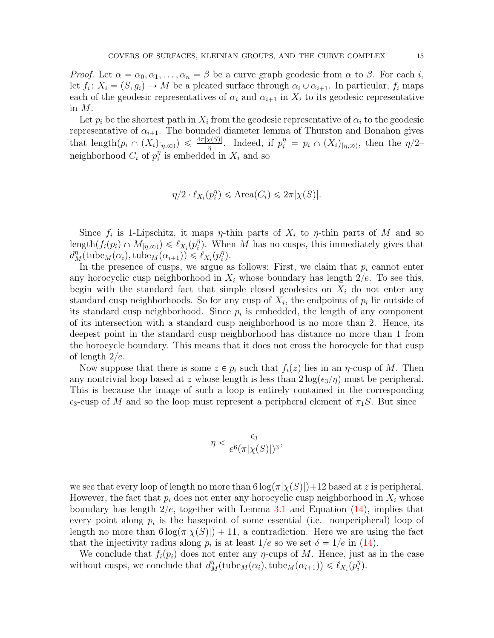*Proof.* Let  $\alpha = \alpha_0, \alpha_1, \ldots, \alpha_n = \beta$  be a curve graph geodesic from  $\alpha$  to  $\beta$ . For each i, let  $f_i: X_i = (S, g_i) \to M$  be a pleated surface through  $\alpha_i \cup \alpha_{i+1}$ . In particular,  $f_i$  maps each of the geodesic representatives of  $\alpha_i$  and  $\alpha_{i+1}$  in  $X_i$  to its geodesic representative in M.

Let  $p_i$  be the shortest path in  $X_i$  from the geodesic representative of  $\alpha_i$  to the geodesic representative of  $\alpha_{i+1}$ . The bounded diameter lemma of Thurston and Bonahon gives that length $(p_i \cap (X_i)_{[\eta,\infty)}) \leq \frac{4\pi |\chi(S)|}{\eta}$ . Indeed, if  $p_i^{\eta} = p_i \cap (X_i)_{[\eta,\infty)}$ , then the  $\eta/2$ neighborhood  $C_i$  of  $p_i^{\eta}$  $\eta_i^{\eta}$  is embedded in  $X_i$  and so

$$
\eta/2 \cdot \ell_{X_i}(p_i^{\eta}) \le \text{Area}(C_i) \le 2\pi |\chi(S)|.
$$

Since  $f_i$  is 1-Lipschitz, it maps  $\eta$ -thin parts of  $X_i$  to  $\eta$ -thin parts of M and so length $(f_i(p_i) \cap M_{[\eta,\infty)}) \leq \ell_{X_i}(p_i^{\eta})$  $\binom{n}{i}$ . When M has no cusps, this immediately gives that  $d_M^{\eta}(\text{tube}_M(\alpha_i), \text{tube}_M(\alpha_{i+1})) \leq \ell_{X_i}(p_i^{\eta})$  $\binom{\eta}{i}$ .

In the presence of cusps, we argue as follows: First, we claim that  $p_i$  cannot enter any horocyclic cusp neighborhood in  $X_i$  whose boundary has length  $2/e$ . To see this, begin with the standard fact that simple closed geodesics on  $X_i$  do not enter any standard cusp neighborhoods. So for any cusp of  $X_i$ , the endpoints of  $p_i$  lie outside of its standard cusp neighborhood. Since  $p_i$  is embedded, the length of any component of its intersection with a standard cusp neighborhood is no more than 2. Hence, its deepest point in the standard cusp neighborhood has distance no more than 1 from the horocycle boundary. This means that it does not cross the horocycle for that cusp of length  $2/e$ .

Now suppose that there is some  $z \in p_i$  such that  $f_i(z)$  lies in an  $\eta$ -cusp of M. Then any nontrivial loop based at z whose length is less than  $2\log(\epsilon_3/\eta)$  must be peripheral. This is because the image of such a loop is entirely contained in the corresponding  $\epsilon_3$ -cusp of M and so the loop must represent a peripheral element of  $\pi_1S$ . But since

$$
\eta < \frac{\epsilon_3}{e^6(\pi|\chi(S)|)^3},
$$

we see that every loop of length no more than  $6 \log(\pi|\chi(S)|) + 12$  based at z is peripheral. However, the fact that  $p_i$  does not enter any horocyclic cusp neighborhood in  $X_i$  whose boundary has length  $2/e$ , together with Lemma [3.1](#page-6-2) and Equation [\(14\)](#page-9-4), implies that every point along  $p_i$  is the basepoint of some essential (i.e. nonperipheral) loop of length no more than  $6 \log(\pi |\chi(S)|) + 11$ , a contradiction. Here we are using the fact that the injectivity radius along  $p_i$  is at least  $1/e$  so we set  $\delta = 1/e$  in [\(14\)](#page-9-4).

We conclude that  $f_i(p_i)$  does not enter any  $\eta$ -cups of M. Hence, just as in the case without cusps, we conclude that  $d_M^{\eta}(\text{tube}_M(\alpha_i), \text{tube}_M(\alpha_{i+1})) \leq \ell_{X_i}(p_i^{\eta})$  $\binom{n}{i}$ .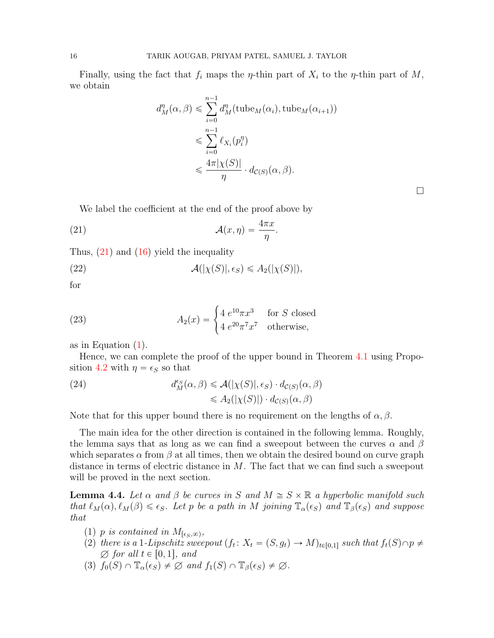Finally, using the fact that  $f_i$  maps the  $\eta$ -thin part of  $X_i$  to the  $\eta$ -thin part of  $M$ , we obtain

$$
d_M^n(\alpha, \beta) \leqslant \sum_{i=0}^{n-1} d_M^n(\text{tube}_M(\alpha_i), \text{tube}_M(\alpha_{i+1}))
$$
  

$$
\leqslant \sum_{i=0}^{n-1} \ell_{X_i}(p_i^{\eta})
$$
  

$$
\leqslant \frac{4\pi |\chi(S)|}{\eta} \cdot d_{\mathcal{C}(S)}(\alpha, \beta).
$$

 $\Box$ 

<span id="page-15-0"></span>We label the coefficient at the end of the proof above by

(21) 
$$
\mathcal{A}(x,\eta) = \frac{4\pi x}{\eta}.
$$

Thus,  $(21)$  and  $(16)$  yield the inequality

<span id="page-15-2"></span>(22)  $\mathcal{A}(|\chi(S)|, \epsilon_S) \leq A_2(|\chi(S)|),$ 

for

(23) 
$$
A_2(x) = \begin{cases} 4 e^{10} \pi x^3 & \text{for } S \text{ closed} \\ 4 e^{20} \pi^7 x^7 & \text{otherwise,} \end{cases}
$$

as in Equation [\(1\)](#page-1-0).

Hence, we can complete the proof of the upper bound in Theorem [4.1](#page-13-0) using Propo-sition [4.2](#page-13-2) with  $\eta = \epsilon_S$  so that

(24) 
$$
d_M^{\epsilon_S}(\alpha, \beta) \leq \mathcal{A}(|\chi(S)|, \epsilon_S) \cdot d_{\mathcal{C}(S)}(\alpha, \beta) \leq A_2(|\chi(S)|) \cdot d_{\mathcal{C}(S)}(\alpha, \beta)
$$

Note that for this upper bound there is no requirement on the lengths of  $\alpha, \beta$ .

The main idea for the other direction is contained in the following lemma. Roughly, the lemma says that as long as we can find a sweepout between the curves  $\alpha$  and  $\beta$ which separates  $\alpha$  from  $\beta$  at all times, then we obtain the desired bound on curve graph distance in terms of electric distance in M. The fact that we can find such a sweepout will be proved in the next section.

<span id="page-15-1"></span>**Lemma 4.4.** Let  $\alpha$  and  $\beta$  be curves in S and  $M \cong S \times \mathbb{R}$  a hyperbolic manifold such that  $\ell_M(\alpha), \ell_M(\beta) \leq \epsilon_S$ . Let p be a path in M joining  $\mathbb{T}_{\alpha}(\epsilon_S)$  and  $\mathbb{T}_{\beta}(\epsilon_S)$  and suppose that

- (1) p is contained in  $M_{\lceil \epsilon_S,\infty\rceil}$ ,
- (2) there is a 1-Lipschitz sweepout  $(f_t: X_t = (S, g_t) \to M)_{t \in [0,1]}$  such that  $f_t(S) \cap p \neq$  $\emptyset$  for all  $t \in [0, 1]$ , and
- (3)  $f_0(S) \cap \mathbb{T}_\alpha(\epsilon_S) \neq \emptyset$  and  $f_1(S) \cap \mathbb{T}_\beta(\epsilon_S) \neq \emptyset$ .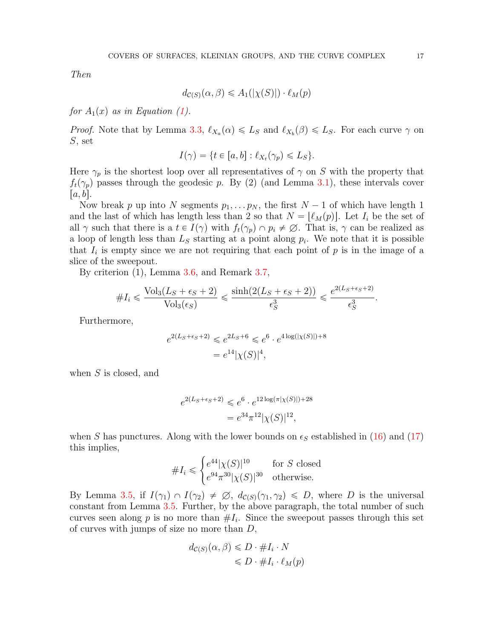Then

$$
d_{\mathcal{C}(S)}(\alpha, \beta) \leq A_1(|\chi(S)|) \cdot \ell_M(p)
$$

for  $A_1(x)$  as in Equation [\(1\)](#page-1-0).

*Proof.* Note that by Lemma [3.3,](#page-9-3)  $\ell_{X_a}(\alpha) \leq L_S$  and  $\ell_{X_b}(\beta) \leq L_S$ . For each curve  $\gamma$  on S, set

$$
I(\gamma) = \{ t \in [a, b] : \ell_{X_t}(\gamma_p) \leq L_S \}.
$$

Here  $\gamma_p$  is the shortest loop over all representatives of  $\gamma$  on S with the property that  $f_t(\gamma_p)$  passes through the geodesic p. By (2) (and Lemma [3.1\)](#page-6-2), these intervals cover  $[a, b]$ .

Now break p up into N segments  $p_1, \ldots, p_N$ , the first  $N-1$  of which have length 1 and the last of which has length less than 2 so that  $N = \lvert \ell_M(p) \rvert$ . Let  $I_i$  be the set of all  $\gamma$  such that there is a  $t \in I(\gamma)$  with  $f_t(\gamma_p) \cap p_i \neq \emptyset$ . That is,  $\gamma$  can be realized as a loop of length less than  $L<sub>S</sub>$  starting at a point along  $p<sub>i</sub>$ . We note that it is possible that  $I_i$  is empty since we are not requiring that each point of  $p$  is in the image of a slice of the sweepout.

By criterion  $(1)$ , Lemma [3.6,](#page-12-0) and Remark [3.7,](#page-13-3)

$$
\#I_i \leqslant \frac{\text{Vol}_3(L_S + \epsilon_S + 2)}{\text{Vol}_3(\epsilon_S)} \leqslant \frac{\sinh(2(L_S + \epsilon_S + 2))}{\epsilon_S^3} \leqslant \frac{e^{2(L_S + \epsilon_S + 2)}}{\epsilon_S^3}.
$$

Furthermore,

$$
e^{2(L_S + \epsilon_S + 2)} \le e^{2L_S + 6} \le e^6 \cdot e^{4 \log(|\chi(S)|) + 8}
$$
  
=  $e^{14} |\chi(S)|^4$ ,

when  $S$  is closed, and

$$
e^{2(L_S + \epsilon_S + 2)} \le e^6 \cdot e^{12 \log(\pi |\chi(S)|) + 28}
$$
  
=  $e^{34} \pi^{12} |\chi(S)|^{12}$ ,

when S has punctures. Along with the lower bounds on  $\epsilon_s$  established in [\(16\)](#page-10-0) and [\(17\)](#page-10-1) this implies, #

$$
\#I_i \leqslant \begin{cases} e^{44} |\chi(S)|^{10} & \text{for } S \text{ closed} \\ e^{94} \pi^{30} |\chi(S)|^{30} & \text{otherwise.} \end{cases}
$$

By Lemma [3.5,](#page-10-2) if  $I(\gamma_1) \cap I(\gamma_2) \neq \emptyset$ ,  $d_{\mathcal{C}(S)}(\gamma_1, \gamma_2) \leq D$ , where D is the universal constant from Lemma [3.5.](#page-10-2) Further, by the above paragraph, the total number of such curves seen along  $p$  is no more than  $#I_i$ . Since the sweepout passes through this set of curves with jumps of size no more than  $D$ ,

$$
d_{\mathcal{C}(S)}(\alpha, \beta) \le D \cdot \#I_i \cdot N
$$
  

$$
\le D \cdot \#I_i \cdot \ell_M(p)
$$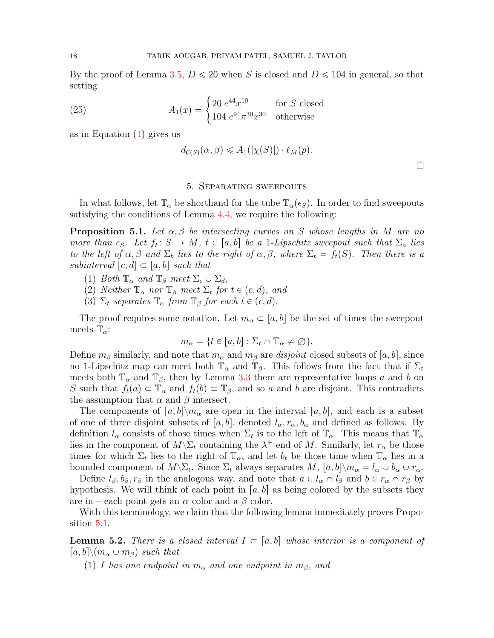By the proof of Lemma [3.5,](#page-10-2)  $D \le 20$  when S is closed and  $D \le 104$  in general, so that setting

(25) 
$$
A_1(x) = \begin{cases} 20 e^{44} x^{10} & \text{for } S \text{ closed} \\ 104 e^{94} \pi^{30} x^{30} & \text{otherwise} \end{cases}
$$

as in Equation [\(1\)](#page-1-0) gives us

$$
d_{\mathcal{C}(S)}(\alpha,\beta) \leq A_1(|\chi(S)|) \cdot \ell_M(p).
$$

 $\Box$ 

#### 5. Separating sweepouts

<span id="page-17-0"></span>In what follows, let  $\mathbb{T}_{\alpha}$  be shorthand for the tube  $\mathbb{T}_{\alpha}(\epsilon_{S})$ . In order to find sweepouts satisfying the conditions of Lemma [4.4,](#page-15-1) we require the following:

<span id="page-17-1"></span>**Proposition 5.1.** Let  $\alpha, \beta$  be intersecting curves on S whose lengths in M are no more than  $\epsilon_S$ . Let  $f_t: S \to M$ ,  $t \in [a, b]$  be a 1-Lipschitz sweepout such that  $\Sigma_a$  lies to the left of  $\alpha, \beta$  and  $\Sigma_b$  lies to the right of  $\alpha, \beta$ , where  $\Sigma_t = f_t(S)$ . Then there is a subinterval  $[c, d] \subset [a, b]$  such that

- (1) Both  $\mathbb{T}_{\alpha}$  and  $\mathbb{T}_{\beta}$  meet  $\Sigma_c \cup \Sigma_d$ ,
- (2) Neither  $\mathbb{T}_{\alpha}$  nor  $\mathbb{T}_{\beta}$  meet  $\Sigma_t$  for  $t \in (c, d)$ , and
- (3)  $\Sigma_t$  separates  $\mathbb{T}_{\alpha}$  from  $\mathbb{T}_{\beta}$  for each  $t \in (c, d)$ .

The proof requires some notation. Let  $m_{\alpha} \subset [a, b]$  be the set of times the sweepout meets  $\mathbb{T}_{\alpha}$ :

$$
m_{\alpha} = \{ t \in [a, b] : \Sigma_t \cap \mathbb{T}_{\alpha} \neq \varnothing \}.
$$

Define  $m_\beta$  similarly, and note that  $m_\alpha$  and  $m_\beta$  are disjoint closed subsets of  $[a, b]$ , since no 1-Lipschitz map can meet both  $\mathbb{T}_{\alpha}$  and  $\mathbb{T}_{\beta}$ . This follows from the fact that if  $\Sigma_t$ meets both  $\mathbb{T}_{\alpha}$  and  $\mathbb{T}_{\beta}$ , then by Lemma [3.3](#page-9-3) there are representative loops a and b on S such that  $f_t(a) \subset \mathbb{T}_\alpha$  and  $f_t(b) \subset \mathbb{T}_\beta$ , and so a and b are disjoint. This contradicts the assumption that  $\alpha$  and  $\beta$  intersect.

The components of  $[a, b] \setminus m_\alpha$  are open in the interval  $[a, b]$ , and each is a subset of one of three disjoint subsets of [a, b], denoted  $l_{\alpha}, r_{\alpha}, b_{\alpha}$  and defined as follows. By definition  $l_{\alpha}$  consists of those times when  $\Sigma_t$  is to the left of  $\mathbb{T}_{\alpha}$ . This means that  $\mathbb{T}_{\alpha}$ lies in the component of  $M\backslash \Sigma_t$  containing the  $\lambda^+$  end of M. Similarly, let  $r_\alpha$  be those times for which  $\Sigma_t$  lies to the right of  $\mathbb{T}_{\alpha}$ , and let  $b_t$  be those time when  $\mathbb{T}_{\alpha}$  lies in a bounded component of  $M\backslash \Sigma_t$ . Since  $\Sigma_t$  always separates  $M$ ,  $[a, b]\backslash m_\alpha = l_\alpha \cup b_\alpha \cup r_\alpha$ .

Define  $l_\beta$ ,  $b_\beta$ ,  $r_\beta$  in the analogous way, and note that  $a \in l_\alpha \cap l_\beta$  and  $b \in r_\alpha \cap r_\beta$  by hypothesis. We will think of each point in [a, b] as being colored by the subsets they are in – each point gets an  $\alpha$  color and a  $\beta$  color.

With this terminology, we claim that the following lemma immediately proves Proposition [5.1.](#page-17-1)

<span id="page-17-2"></span>**Lemma 5.2.** There is a closed interval  $I \subset [a, b]$  whose interior is a component of  $|a, b| \backslash (m_\alpha \cup m_\beta)$  such that

(1) I has one endpoint in  $m_{\alpha}$  and one endpoint in  $m_{\beta}$ , and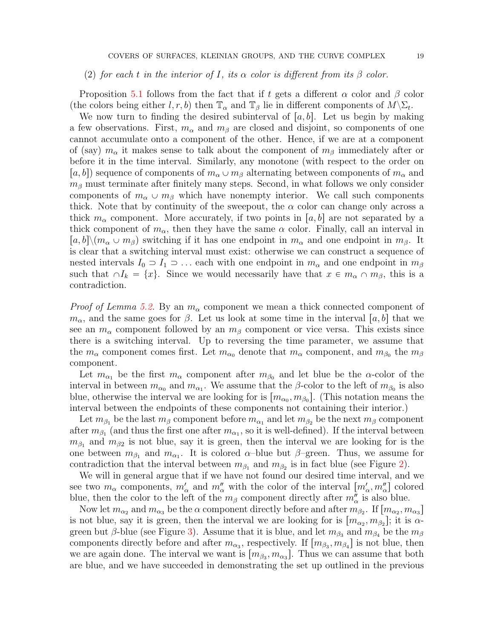# (2) for each t in the interior of I, its  $\alpha$  color is different from its  $\beta$  color.

Proposition [5.1](#page-17-1) follows from the fact that if t gets a different  $\alpha$  color and  $\beta$  color (the colors being either l, r, b) then  $\mathbb{T}_{\alpha}$  and  $\mathbb{T}_{\beta}$  lie in different components of  $M\backslash\Sigma_t$ .

We now turn to finding the desired subinterval of  $[a, b]$ . Let us begin by making a few observations. First,  $m_{\alpha}$  and  $m_{\beta}$  are closed and disjoint, so components of one cannot accumulate onto a component of the other. Hence, if we are at a component of (say)  $m_\alpha$  it makes sense to talk about the component of  $m_\beta$  immediately after or before it in the time interval. Similarly, any monotone (with respect to the order on  $[a, b]$  sequence of components of  $m_{\alpha} \cup m_{\beta}$  alternating between components of  $m_{\alpha}$  and  $m<sub>\beta</sub>$  must terminate after finitely many steps. Second, in what follows we only consider components of  $m_{\alpha} \cup m_{\beta}$  which have nonempty interior. We call such components thick. Note that by continuity of the sweepout, the  $\alpha$  color can change only across a thick  $m_{\alpha}$  component. More accurately, if two points in [a, b] are not separated by a thick component of  $m_{\alpha}$ , then they have the same  $\alpha$  color. Finally, call an interval in  $|a, b| \setminus (m_\alpha \cup m_\beta)$  switching if it has one endpoint in  $m_\alpha$  and one endpoint in  $m_\beta$ . It is clear that a switching interval must exist: otherwise we can construct a sequence of nested intervals  $I_0 \supset I_1 \supset \dots$  each with one endpoint in  $m_\alpha$  and one endpoint in  $m_\beta$ such that  $\cap I_k = \{x\}$ . Since we would necessarily have that  $x \in m_\alpha \cap m_\beta$ , this is a contradiction.

*Proof of Lemma [5.2.](#page-17-2)* By an  $m_{\alpha}$  component we mean a thick connected component of  $m_{\alpha}$ , and the same goes for  $\beta$ . Let us look at some time in the interval  $[a, b]$  that we see an  $m_\alpha$  component followed by an  $m_\beta$  component or vice versa. This exists since there is a switching interval. Up to reversing the time parameter, we assume that the  $m_\alpha$  component comes first. Let  $m_{\alpha_0}$  denote that  $m_\alpha$  component, and  $m_{\beta_0}$  the  $m_\beta$ component.

Let  $m_{\alpha_1}$  be the first  $m_{\alpha}$  component after  $m_{\beta_0}$  and let blue be the  $\alpha$ -color of the interval in between  $m_{\alpha_0}$  and  $m_{\alpha_1}$ . We assume that the β-color to the left of  $m_{\beta_0}$  is also blue, otherwise the interval we are looking for is  $[m_{\alpha_0}, m_{\beta_0}]$ . (This notation means the interval between the endpoints of these components not containing their interior.)

Let  $m_{\beta_1}$  be the last  $m_{\beta}$  component before  $m_{\alpha_1}$  and let  $m_{\beta_2}$  be the next  $m_{\beta}$  component after  $m_{\beta_1}$  (and thus the first one after  $m_{\alpha_1}$ , so it is well-defined). If the interval between  $m_{\beta_1}$  and  $m_{\beta_2}$  is not blue, say it is green, then the interval we are looking for is the one between  $m_{\beta_1}$  and  $m_{\alpha_1}$ . It is colored  $\alpha$ -blue but  $\beta$ -green. Thus, we assume for contradiction that the interval between  $m_{\beta_1}$  and  $m_{\beta_2}$  is in fact blue (see Figure [2\)](#page-19-0).

We will in general argue that if we have not found our desired time interval, and we see two  $m_\alpha$  components,  $m'_\alpha$  and  $m''_\alpha$  with the color of the interval  $[m'_\alpha, m''_\alpha]$  colored blue, then the color to the left of the  $m_{\beta}$  component directly after  $m''_{\alpha}$  is also blue.

Now let  $m_{\alpha_2}$  and  $m_{\alpha_3}$  be the  $\alpha$  component directly before and after  $m_{\beta_2}$ . If  $[m_{\alpha_2}, m_{\alpha_3}]$ is not blue, say it is green, then the interval we are looking for is  $[m_{\alpha_2}, m_{\beta_2}]$ ; it is  $\alpha$ -green but β-blue (see Figure [3\)](#page-19-1). Assume that it is blue, and let  $m_{\beta_3}$  and  $m_{\beta_4}$  be the  $m_{\beta}$ components directly before and after  $m_{\alpha_3}$ , respectively. If  $[m_{\beta_3}, m_{\beta_4}]$  is not blue, then we are again done. The interval we want is  $[m_{\beta_3}, m_{\alpha_3}]$ . Thus we can assume that both are blue, and we have succeeded in demonstrating the set up outlined in the previous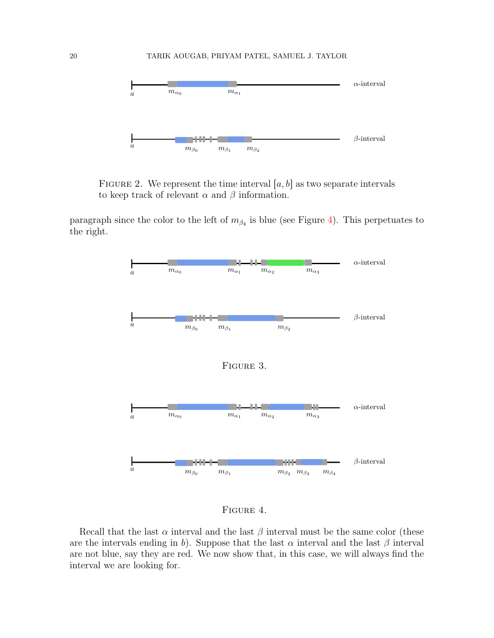

<span id="page-19-0"></span>FIGURE 2. We represent the time interval  $[a, b]$  as two separate intervals to keep track of relevant  $\alpha$  and  $\beta$  information.

paragraph since the color to the left of  $m_{\beta_4}$  is blue (see Figure [4\)](#page-19-2). This perpetuates to the right.



<span id="page-19-2"></span><span id="page-19-1"></span>Figure 4.

Recall that the last  $\alpha$  interval and the last  $\beta$  interval must be the same color (these are the intervals ending in b). Suppose that the last  $\alpha$  interval and the last  $\beta$  interval are not blue, say they are red. We now show that, in this case, we will always find the interval we are looking for.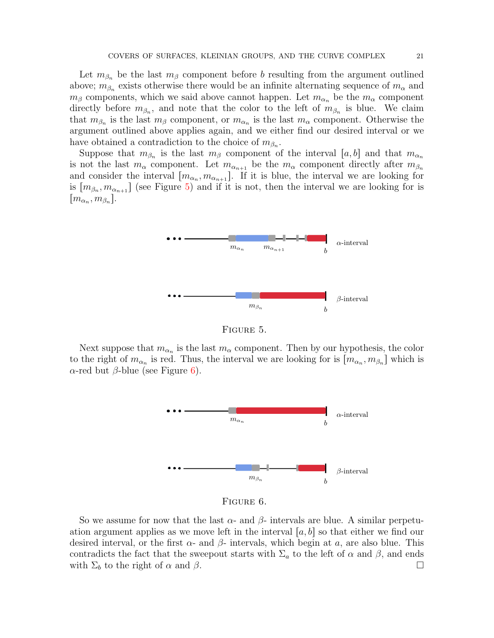Let  $m_{\beta_n}$  be the last  $m_{\beta}$  component before b resulting from the argument outlined above;  $m_{\beta_n}$  exists otherwise there would be an infinite alternating sequence of  $m_\alpha$  and  $m_\beta$  components, which we said above cannot happen. Let  $m_{\alpha_n}$  be the  $m_\alpha$  component directly before  $m_{\beta_n}$ , and note that the color to the left of  $m_{\beta_n}$  is blue. We claim that  $m_{\beta_n}$  is the last  $m_{\beta}$  component, or  $m_{\alpha_n}$  is the last  $m_{\alpha}$  component. Otherwise the argument outlined above applies again, and we either find our desired interval or we have obtained a contradiction to the choice of  $m_{\beta_n}$ .

Suppose that  $m_{\beta_n}$  is the last  $m_{\beta}$  component of the interval  $[a, b]$  and that  $m_{\alpha_n}$ is not the last  $m_\alpha$  component. Let  $m_{\alpha_{n+1}}$  be the  $m_\alpha$  component directly after  $m_{\beta_n}$ and consider the interval  $[m_{\alpha_n}, m_{\alpha_{n+1}}]$ . If it is blue, the interval we are looking for is  $[m_{\beta_n}, m_{\alpha_{n+1}}]$  (see Figure [5\)](#page-20-0) and if it is not, then the interval we are looking for is  $[m_{\alpha_n}, m_{\beta_n}].$ 



<span id="page-20-0"></span>FIGURE 5.

Next suppose that  $m_{\alpha_n}$  is the last  $m_\alpha$  component. Then by our hypothesis, the color to the right of  $m_{\alpha_n}$  is red. Thus, the interval we are looking for is  $[m_{\alpha_n}, m_{\beta_n}]$  which is  $\alpha$ -red but β-blue (see Figure [6\)](#page-20-1).



<span id="page-20-1"></span>Figure 6.

So we assume for now that the last  $\alpha$ - and  $\beta$ - intervals are blue. A similar perpetuation argument applies as we move left in the interval  $[a, b]$  so that either we find our desired interval, or the first  $\alpha$ - and  $\beta$ - intervals, which begin at a, are also blue. This contradicts the fact that the sweepout starts with  $\Sigma_a$  to the left of  $\alpha$  and  $\beta$ , and ends with  $\Sigma_b$  to the right of  $\alpha$  and  $\beta$ .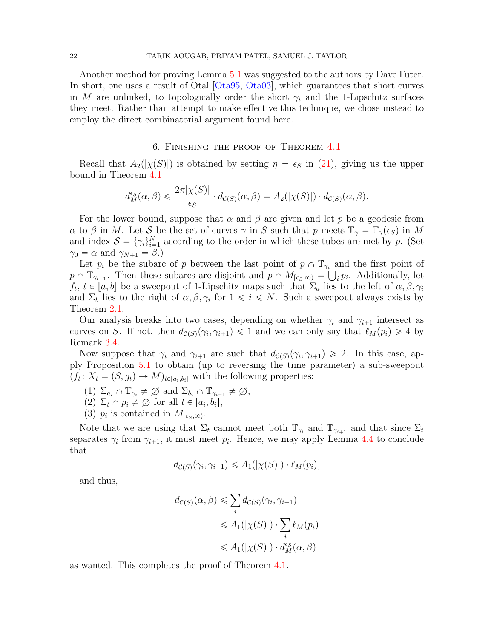Another method for proving Lemma [5.1](#page-17-1) was suggested to the authors by Dave Futer. In short, one uses a result of Otal [\[Ota95,](#page-29-12) [Ota03\]](#page-29-13), which guarantees that short curves in M are unlinked, to topologically order the short  $\gamma_i$  and the 1-Lipschitz surfaces they meet. Rather than attempt to make effective this technique, we chose instead to employ the direct combinatorial argument found here.

# 6. Finishing the proof of Theorem [4.1](#page-13-0)

<span id="page-21-0"></span>Recall that  $A_2(|\chi(S)|)$  is obtained by setting  $\eta = \epsilon_S$  in [\(21\)](#page-15-0), giving us the upper bound in Theorem [4.1](#page-13-0)

$$
d_M^{\epsilon_S}(\alpha, \beta) \leq \frac{2\pi |\chi(S)|}{\epsilon_S} \cdot d_{\mathcal{C}(S)}(\alpha, \beta) = A_2(|\chi(S)|) \cdot d_{\mathcal{C}(S)}(\alpha, \beta).
$$

For the lower bound, suppose that  $\alpha$  and  $\beta$  are given and let p be a geodesic from  $\alpha$  to  $\beta$  in M. Let S be the set of curves  $\gamma$  in S such that p meets  $\mathbb{T}_{\gamma} = \mathbb{T}_{\gamma}(\epsilon_S)$  in M and index  $S = {\gamma_i}_{i=1}^N$  according to the order in which these tubes are met by p. (Set  $\gamma_0 = \alpha$  and  $\gamma_{N+1} = \beta$ .)

Let  $p_i$  be the subarc of p between the last point of  $p \cap \mathbb{T}_{\gamma_i}$  and the first point of  $p \cap \mathbb{T}_{\gamma_{i+1}}$ . Then these subarcs are disjoint and  $p \cap M_{[\epsilon_S,\infty)} = \bigcup_i p_i$ . Additionally, let  $f_t, t \in [a, b]$  be a sweepout of 1-Lipschitz maps such that  $\Sigma_a$  lies to the left of  $\alpha, \beta, \gamma_i$ and  $\Sigma_b$  lies to the right of  $\alpha, \beta, \gamma_i$  for  $1 \leq i \leq N$ . Such a sweepout always exists by Theorem [2.1.](#page-6-1)

Our analysis breaks into two cases, depending on whether  $\gamma_i$  and  $\gamma_{i+1}$  intersect as curves on S. If not, then  $d_{\mathcal{C}(S)}(\gamma_i, \gamma_{i+1}) \leq 1$  and we can only say that  $\ell_M(p_i) \geq 4$  by Remark [3.4.](#page-10-3)

Now suppose that  $\gamma_i$  and  $\gamma_{i+1}$  are such that  $d_{\mathcal{C}(S)}(\gamma_i, \gamma_{i+1}) \geq 2$ . In this case, apply Proposition [5.1](#page-17-1) to obtain (up to reversing the time parameter) a sub-sweepout  $(f_t: X_t = (S, g_t) \to M)_{t \in [a_i, b_i]}$  with the following properties:

- (1)  $\Sigma_{a_i} \cap \mathbb{T}_{\gamma_i} \neq \emptyset$  and  $\Sigma_{b_i} \cap \mathbb{T}_{\gamma_{i+1}} \neq \emptyset$ ,
- (2)  $\Sigma_t \cap p_i \neq \emptyset$  for all  $t \in [a_i, b_i]$ ,
- (3)  $p_i$  is contained in  $M_{\lbrack \epsilon_S,\infty)}$ .

Note that we are using that  $\Sigma_t$  cannot meet both  $\mathbb{T}_{\gamma_i}$  and  $\mathbb{T}_{\gamma_{i+1}}$  and that since  $\Sigma_t$ separates  $\gamma_i$  from  $\gamma_{i+1}$ , it must meet  $p_i$ . Hence, we may apply Lemma [4.4](#page-15-1) to conclude that

$$
d_{\mathcal{C}(S)}(\gamma_i, \gamma_{i+1}) \leq A_1(|\chi(S)|) \cdot \ell_M(p_i),
$$

and thus,

$$
d_{\mathcal{C}(S)}(\alpha, \beta) \leq \sum_{i} d_{\mathcal{C}(S)}(\gamma_{i}, \gamma_{i+1})
$$
  

$$
\leq A_{1}(|\chi(S)|) \cdot \sum_{i} \ell_{M}(p_{i})
$$
  

$$
\leq A_{1}(|\chi(S)|) \cdot d_{M}^{\epsilon_{S}}(\alpha, \beta)
$$

as wanted. This completes the proof of Theorem [4.1.](#page-13-0)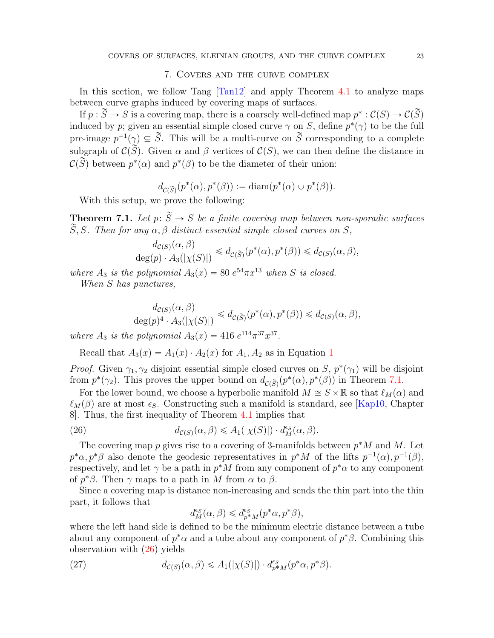### 7. Covers and the curve complex

<span id="page-22-1"></span>In this section, we follow Tang [\[Tan12\]](#page-29-1) and apply Theorem [4.1](#page-13-0) to analyze maps between curve graphs induced by covering maps of surfaces.

If  $p : \widetilde{S} \to S$  is a covering map, there is a coarsely well-defined map  $p^* : \mathcal{C}(S) \to \mathcal{C}(\widetilde{S})$ induced by p; given an essential simple closed curve  $\gamma$  on S, define  $p^*(\gamma)$  to be the full pre-image  $p^{-1}(\gamma) \subseteq \widetilde{S}$ . This will be a multi-curve on  $\widetilde{S}$  corresponding to a complete subgraph of  $\mathcal{C}(\widetilde{S})$ . Given  $\alpha$  and  $\beta$  vertices of  $\mathcal{C}(S)$ , we can then define the distance in  $\mathcal{C}(\widetilde{S})$  between  $p^*(\alpha)$  and  $p^*(\beta)$  to be the diameter of their union:

$$
d_{\mathcal{C}(\widetilde{S})}(p^*(\alpha), p^*(\beta)) := \text{diam}(p^*(\alpha) \cup p^*(\beta)).
$$

With this setup, we prove the following:

<span id="page-22-0"></span>**Theorem 7.1.** Let  $p: \widetilde{S} \to S$  be a finite covering map between non-sporadic surfaces  $\widetilde{S}, S$ . Then for any  $\alpha, \beta$  distinct essential simple closed curves on S,

$$
\frac{d_{\mathcal{C}(S)}(\alpha,\beta)}{\deg(p) \cdot A_3(|\chi(S)|)} \leq d_{\mathcal{C}(\widetilde{S})}(p^*(\alpha), p^*(\beta)) \leq d_{\mathcal{C}(S)}(\alpha,\beta),
$$

where  $A_3$  is the polynomial  $A_3(x) = 80 e^{54} \pi x^{13}$  when S is closed.

When S has punctures,

$$
\frac{d_{\mathcal{C}(S)}(\alpha,\beta)}{\deg(p)^4 \cdot A_3(|\chi(S)|)} \leq d_{\mathcal{C}(\widetilde{S})}(p^*(\alpha),p^*(\beta)) \leq d_{\mathcal{C}(S)}(\alpha,\beta),
$$

where  $A_3$  is the polynomial  $A_3(x) = 416 e^{114} \pi^{37} x^{37}$ .

Recall that  $A_3(x) = A_1(x) \cdot A_2(x)$  $A_3(x) = A_1(x) \cdot A_2(x)$  $A_3(x) = A_1(x) \cdot A_2(x)$  for  $A_1, A_2$  as in Equation 1

*Proof.* Given  $\gamma_1, \gamma_2$  disjoint essential simple closed curves on S,  $p^*(\gamma_1)$  will be disjoint from  $p^*(\gamma_2)$ . This proves the upper bound on  $d_{\mathcal{C}(\widetilde{S})}(p^*(\alpha), p^*(\beta))$  in Theorem [7.1.](#page-22-0)

For the lower bound, we choose a hyperbolic manifold  $M \cong S \times \mathbb{R}$  so that  $\ell_M(\alpha)$  and  $\ell_M(\beta)$  are at most  $\epsilon_S$ . Constructing such a manifold is standard, see [\[Kap10,](#page-29-14) Chapter 8]. Thus, the first inequality of Theorem [4.1](#page-13-0) implies that

(26) 
$$
d_{\mathcal{C}(S)}(\alpha,\beta) \leq A_1(|\chi(S)|) \cdot d_M^{\epsilon_S}(\alpha,\beta).
$$

The covering map  $p$  gives rise to a covering of 3-manifolds between  $p^*M$  and M. Let  $p^*\alpha, p^*\beta$  also denote the geodesic representatives in  $p^*M$  of the lifts  $p^{-1}(\alpha), p^{-1}(\beta)$ , respectively, and let  $\gamma$  be a path in  $p^*M$  from any component of  $p^*\alpha$  to any component of  $p^*\beta$ . Then  $\gamma$  maps to a path in M from  $\alpha$  to  $\beta$ .

Since a covering map is distance non-increasing and sends the thin part into the thin part, it follows that

<span id="page-22-3"></span><span id="page-22-2"></span>
$$
d_M^{\epsilon_S}(\alpha, \beta) \leq d_{p^*M}^{\epsilon_S}(p^*\alpha, p^*\beta),
$$

where the left hand side is defined to be the minimum electric distance between a tube about any component of  $p^*\alpha$  and a tube about any component of  $p^*\beta$ . Combining this observation with [\(26\)](#page-22-2) yields

(27) 
$$
d_{\mathcal{C}(S)}(\alpha,\beta) \leq A_1(|\chi(S)|) \cdot d_{p^*M}^{\epsilon_S}(p^*\alpha,p^*\beta).
$$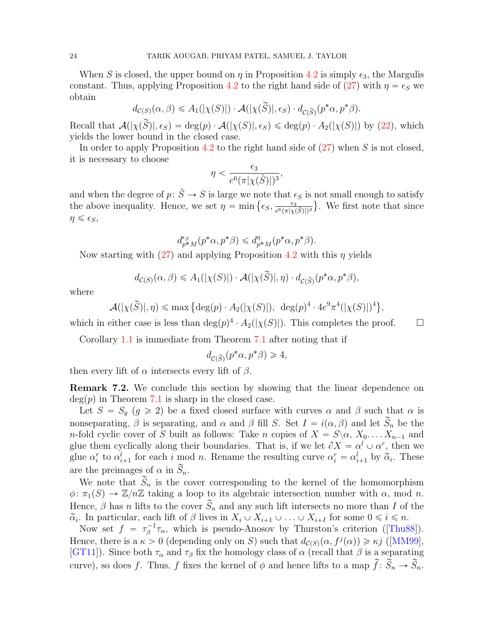When S is closed, the upper bound on  $\eta$  in Proposition [4.2](#page-13-2) is simply  $\epsilon_3$ , the Margulis constant. Thus, applying Proposition [4.2](#page-13-2) to the right hand side of [\(27\)](#page-22-3) with  $\eta = \epsilon_S$  we obtain

$$
d_{\mathcal{C}(S)}(\alpha, \beta) \leq A_1(|\chi(S)|) \cdot \mathcal{A}(|\chi(\widetilde{S})|, \epsilon_S) \cdot d_{\mathcal{C}(\widetilde{S})}(p^*\alpha, p^*\beta).
$$

Recall that  $\mathcal{A}(|\chi(\tilde{S})|, \epsilon_S) = \deg(p) \cdot \mathcal{A}(|\chi(S)|, \epsilon_S) \leq \deg(p) \cdot A_2(|\chi(S)|)$  by [\(22\)](#page-15-2), which yields the lower bound in the closed case.

In order to apply Proposition [4.2](#page-13-2) to the right hand side of  $(27)$  when S is not closed, it is necessary to choose

$$
\eta < \frac{\epsilon_3}{e^6(\pi|\chi(\tilde{S})|)^3},
$$

and when the degree of  $p: \tilde{S} \to S$  is large we note that  $\epsilon_S$  is not small enough to satisfy and when the degree of  $p: S \to S$  is large we note that  $\epsilon$  the above inequality. Hence, we set  $\eta = \min \{ \epsilon_S, \frac{\epsilon_3}{e^6 (\pi | \mathbf{x} |)} \}$  $\frac{\epsilon_3}{e^6 (\pi |\chi(\tilde{S})|)^3}$ . We first note that since  $\eta \leqslant \epsilon_S,$ 

$$
d_{p^*M}^{\epsilon_S}(p^*\alpha, p^*\beta) \leq d_{p^*M}^{\eta}(p^*\alpha, p^*\beta).
$$

Now starting with  $(27)$  and applying Proposition [4.2](#page-13-2) with this  $\eta$  yields

$$
d_{\mathcal{C}(S)}(\alpha,\beta) \leq A_1(|\chi(S)|) \cdot \mathcal{A}(|\chi(\widetilde{S})|,\eta) \cdot d_{\mathcal{C}(\widetilde{S})}(p^*\alpha,p^*\beta),
$$

where

$$
\mathcal{A}(|\chi(\widetilde{S})|, \eta) \le \max \left\{ \deg(p) \cdot A_2(|\chi(S)|), \deg(p)^4 \cdot 4e^9 \pi^4(|\chi(S)|)^4 \right\},\
$$

which in either case is less than  $\deg(p)^4 \cdot A_2(|\chi(S)|)$ . This completes the proof.  $\square$ 

Corollary [1.1](#page-2-0) is immediate from Theorem [7.1](#page-22-0) after noting that if

$$
d_{\mathcal{C}(\widetilde{S})}(p^*\alpha, p^*\beta) \geq 4,
$$

then every lift of  $\alpha$  intersects every lift of  $\beta$ .

<span id="page-23-0"></span>Remark 7.2. We conclude this section by showing that the linear dependence on  $deg(p)$  in Theorem [7.1](#page-22-0) is sharp in the closed case.

Let  $S = S_g$   $(g \ge 2)$  be a fixed closed surface with curves  $\alpha$  and  $\beta$  such that  $\alpha$  is nonseparating,  $\beta$  is separating, and  $\alpha$  and  $\beta$  fill S. Set  $I = i(\alpha, \beta)$  and let  $\widetilde{S}_n$  be the n-fold cyclic cover of S built as follows: Take n copies of  $X = S \setminus \alpha, X_0, \ldots, X_{n-1}$  and glue them cyclically along their boundaries. That is, if we let  $\partial X = \alpha^l \cup \alpha^r$ , then we glue  $\alpha_i^r$  to  $\alpha_{i+1}^l$  for each i mod n. Rename the resulting curve  $\alpha_i^r = \alpha_{i+1}^l$  by  $\tilde{\alpha}_i$ . These are the preimages of  $\alpha$  in  $\widetilde{S}_n$ .

We note that  $\tilde{S}_n$  is the cover corresponding to the kernel of the homomorphism  $\phi: \pi_1(S) \to \mathbb{Z}/n\mathbb{Z}$  taking a loop to its algebraic intersection number with  $\alpha$ , mod n. Hence,  $\beta$  has n lifts to the cover  $\widetilde{S}_n$  and any such lift intersects no more than I of the  $\tilde{\alpha}_i$ . In particular, each lift of  $\beta$  lives in  $X_i \cup X_{i+1} \cup \ldots \cup X_{i+I}$  for some  $0 \leq i \leq n$ .

Nowset  $f = \tau_{\beta}^{-1} \tau_{\alpha}$ , which is pseudo-Anosov by Thurston's criterion ([\[Thu88\]](#page-29-15)). Hence, there is a  $\kappa > 0$  (depending only on S) such that  $d_{\mathcal{C}(S)}(\alpha, f^j(\alpha)) \geq \kappa j$  ([\[MM99\]](#page-29-16), [\[GT11\]](#page-29-17)). Since both  $\tau_{\alpha}$  and  $\tau_{\beta}$  fix the homology class of  $\alpha$  (recall that  $\beta$  is a separating curve), so does f. Thus, f fixes the kernel of  $\phi$  and hence lifts to a map  $\tilde{f}: \tilde{S}_n \to \tilde{S}_n$ .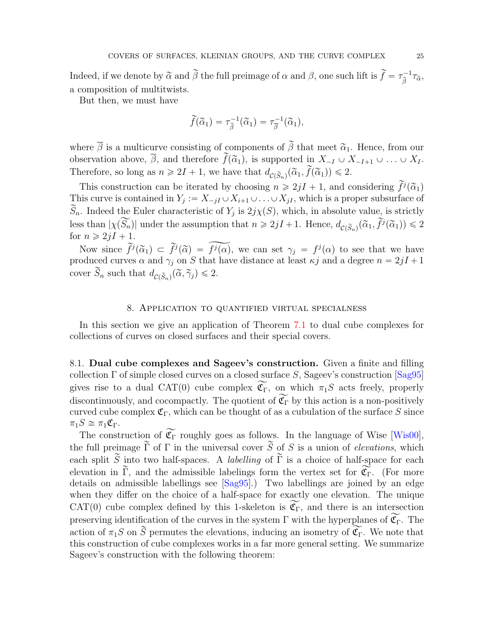Indeed, if we denote by  $\tilde{\alpha}$  and  $\tilde{\beta}$  the full preimage of  $\alpha$  and  $\beta$ , one such lift is  $\tilde{f} = \tau_{\tilde{\beta}}^{-1} \tau_{\tilde{\alpha}}$ , a composition of multitwists.

But then, we must have

$$
\widetilde{f}(\widetilde{\alpha}_1) = \tau_{\widetilde{\beta}}^{-1}(\widetilde{\alpha}_1) = \tau_{\overline{\beta}}^{-1}(\widetilde{\alpha}_1),
$$

where  $\bar{\beta}$  is a multicurve consisting of components of  $\tilde{\beta}$  that meet  $\tilde{\alpha}_1$ . Hence, from our observation above,  $\overline{\beta}$ , and therefore  $\widetilde{f}(\widetilde{\alpha}_1)$ , is supported in  $X_{-I} \cup X_{-I+1} \cup \ldots \cup X_I$ . Therefore, so long as  $n \ge 2I + 1$ , we have that  $d_{\mathcal{C}(\widetilde{S}_n)}(\widetilde{\alpha}_1, \widetilde{f}(\widetilde{\alpha}_1)) \le 2$ .

This construction can be iterated by choosing  $n \geq 2jI + 1$ , and considering  $\tilde{f}^j(\tilde{\alpha}_1)$ This curve is contained in  $Y_j := X_{-jI} \cup X_{i+1} \cup \ldots \cup X_{jI}$ , which is a proper subsurface of  $\widetilde{S}_n$ . Indeed the Euler characteristic of  $Y_j$  is  $2j\chi(S)$ , which, in absolute value, is strictly less than  $|\chi(\widetilde{S_n})|$  under the assumption that  $n \geq 2jI + 1$ . Hence,  $d_{\mathcal{C}(\widetilde{S}_n)}(\widetilde{\alpha}_1, \widetilde{f}^j(\widetilde{\alpha}_1)) \leq 2$ for  $n \geqslant 2jI + 1$ .

Now since  $\tilde{f}^j(\tilde{\alpha}_1) \subset \tilde{f}^j(\tilde{\alpha}) = \tilde{f}^j(\alpha)$ , we can set  $\gamma_j = f^j(\alpha)$  to see that we have produced curves  $\alpha$  and  $\gamma_j$  on S that have distance at least  $\kappa j$  and a degree  $n = 2jI + 1$ cover  $\widetilde{S}_n$  such that  $d_{\mathcal{C}(\widetilde{S}_n)}(\widetilde{\alpha}, \widetilde{\gamma}_j) \leq 2$ .

### 8. Application to quantified virtual specialness

<span id="page-24-0"></span>In this section we give an application of Theorem [7.1](#page-22-0) to dual cube complexes for collections of curves on closed surfaces and their special covers.

8.1. Dual cube complexes and Sageev's construction. Given a finite and filling collection  $\Gamma$  of simple closed curves on a closed surface S, Sageev's construction  $[Sa,95]$ gives rise to a dual CAT(0) cube complex  $\widetilde{\mathfrak{C}_{\Gamma}}$ , on which  $\pi_1S$  acts freely, properly discontinuously, and cocompactly. The quotient of  $\widetilde{\mathfrak{C}_{\Gamma}}$  by this action is a non-positively curved cube complex  $\mathfrak{C}_{\Gamma}$ , which can be thought of as a cubulation of the surface S since  $\pi_1S \cong \pi_1\mathfrak{C}_{\Gamma}.$ 

The construction of  $\widetilde{\mathfrak{C}_{\Gamma}}$  roughly goes as follows. In the language of Wise [\[Wis00\]](#page-29-18), the full preimage  $\tilde{\Gamma}$  of  $\Gamma$  in the universal cover  $\tilde{S}$  of S is a union of elevations, which each split  $\widetilde{S}$  into two half-spaces. A *labelling* of  $\widetilde{\Gamma}$  is a choice of half-space for each elevation in  $\widetilde{\Gamma}$ , and the admissible labelings form the vertex set for  $\widetilde{\mathfrak{C}}_{\Gamma}$ . (For more details on admissible labellings see [\[Sag95\]](#page-29-5).) Two labellings are joined by an edge when they differ on the choice of a half-space for exactly one elevation. The unique CAT(0) cube complex defined by this 1-skeleton is  $\mathfrak{C}_{\Gamma}$ , and there is an intersection preserving identification of the curves in the system  $\Gamma$  with the hyperplanes of  $\widetilde{\mathfrak{C}}_{\Gamma}$ . The action of  $\pi_1S$  on  $\widetilde{S}$  permutes the elevations, inducing an isometry of  $\widetilde{\mathfrak{C}_{\Gamma}}$ . We note that this construction of cube complexes works in a far more general setting. We summarize Sageev's construction with the following theorem: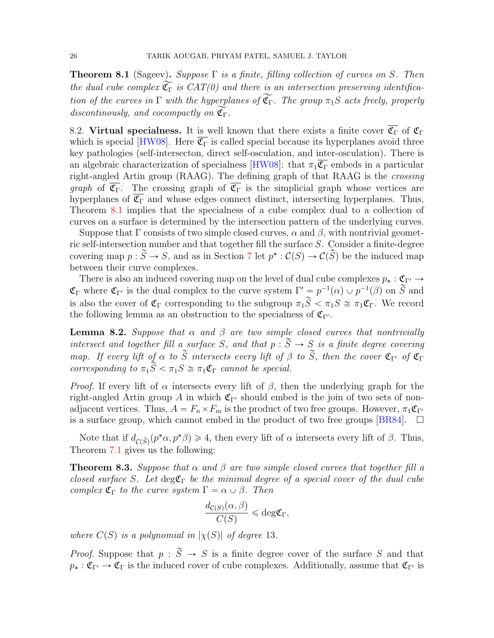<span id="page-25-1"></span>**Theorem 8.1** (Sageev). Suppose  $\Gamma$  is a finite, filling collection of curves on S. Then the dual cube complex  $\widetilde{\mathfrak{C}_{\Gamma}}$  is  $CAT(0)$  and there is an intersection preserving identification of the curves in  $\Gamma$  with the hyperplanes of  $\widetilde{\mathfrak{C}_{\Gamma}}$ . The group  $\pi_1S$  acts freely, properly discontinously, and cocompactly on  $\widetilde{\mathfrak{C}_{\Gamma}}$ .

8.2. Virtual specialness. It is well known that there exists a finite cover  $\overline{\mathfrak{C}_{\Gamma}}$  of  $\mathfrak{C}_{\Gamma}$ which is special [\[HW08\]](#page-29-6). Here  $\overline{\mathfrak{C}_{\Gamma}}$  is called special because its hyperplanes avoid three key pathologies (self-intersecton, direct self-osculation, and inter-osculation). There is an algebraic characterization of specialness [\[HW08\]](#page-29-6): that  $\pi_1 \overline{\mathfrak{C}_{\Gamma}}$  embeds in a particular right-angled Artin group (RAAG). The defining graph of that RAAG is the crossing graph of  $\overline{\mathfrak{C}_{\Gamma}}$ . The crossing graph of  $\overline{\mathfrak{C}_{\Gamma}}$  is the simplicial graph whose vertices are hyperplanes of  $\overline{\mathfrak{C}_{\Gamma}}$  and whose edges connect distinct, intersecting hyperplanes. Thus, Theorem [8.1](#page-25-1) implies that the specialness of a cube complex dual to a collection of curves on a surface is determined by the intersection pattern of the underlying curves.

Suppose that  $\Gamma$  consists of two simple closed curves,  $\alpha$  and  $\beta$ , with nontrivial geometric self-intersection number and that together fill the surface S. Consider a finite-degree covering map  $p : \widetilde{S} \to S$ , and as in Section [7](#page-22-1) let  $p^* : \mathcal{C}(S) \to \mathcal{C}(\widetilde{S})$  be the induced map between their curve complexes.

There is also an induced covering map on the level of dual cube complexes  $p_* : \mathfrak{C}_{\Gamma'} \to$  $\mathfrak{C}_{\Gamma}$  where  $\mathfrak{C}_{\Gamma'}$  is the dual complex to the curve system  $\Gamma' = p^{-1}(\alpha) \cup p^{-1}(\beta)$  on  $\widetilde{S}$  and is also the cover of  $\mathfrak{C}_{\Gamma}$  corresponding to the subgroup  $\pi_1\widetilde{S} < \pi_1S \cong \pi_1\mathfrak{C}_{\Gamma}$ . We record the following lemma as an obstruction to the specialness of  $\mathfrak{C}_{\Gamma}$ .

<span id="page-25-2"></span>**Lemma 8.2.** Suppose that  $\alpha$  and  $\beta$  are two simple closed curves that nontrivially intersect and together fill a surface S, and that  $p : \widetilde{S} \to S$  is a finite degree covering map. If every lift of  $\alpha$  to  $\widetilde{S}$  intersects every lift of  $\beta$  to  $\widetilde{S}$ , then the cover  $\mathfrak{C}_{\Gamma'}$  of  $\mathfrak{C}_{\Gamma}$ corresponding to  $\pi_1\widetilde{S} < \pi_1S \cong \pi_1\mathfrak{C}_{\Gamma}$  cannot be special.

*Proof.* If every lift of  $\alpha$  intersects every lift of  $\beta$ , then the underlying graph for the right-angled Artin group A in which  $\mathfrak{C}_{\Gamma'}$  should embed is the join of two sets of nonadjacent vertices. Thus,  $A = F_n \times F_m$  is the product of two free groups. However,  $\pi_1 \mathfrak{C}_{\Gamma'}$ is a surface group, which cannot embed in the product of two free groups [\[BR84\]](#page-28-16).  $\Box$ 

Note that if  $d_{\mathcal{C}(\widetilde{S})}(p^*\alpha, p^*\beta) \geq 4$ , then every lift of  $\alpha$  intersects every lift of  $\beta$ . Thus, Theorem [7.1](#page-22-0) gives us the following:

<span id="page-25-0"></span>**Theorem 8.3.** Suppose that  $\alpha$  and  $\beta$  are two simple closed curves that together fill a closed surface S. Let deg $\mathfrak{C}_{\Gamma}$  be the minimal degree of a special cover of the dual cube complex  $\mathfrak{C}_{\Gamma}$  to the curve system  $\Gamma = \alpha \cup \beta$ . Then

$$
\frac{d_{\mathcal{C}(S)}(\alpha,\beta)}{C(S)} \leqslant \deg \mathfrak{C}_{\Gamma},
$$

where  $C(S)$  is a polynomial in  $|\chi(S)|$  of degree 13.

*Proof.* Suppose that  $p : \tilde{S} \to S$  is a finite degree cover of the surface S and that  $p_* : \mathfrak{C}_{\Gamma} \to \mathfrak{C}_{\Gamma}$  is the induced cover of cube complexes. Additionally, assume that  $\mathfrak{C}_{\Gamma'}$  is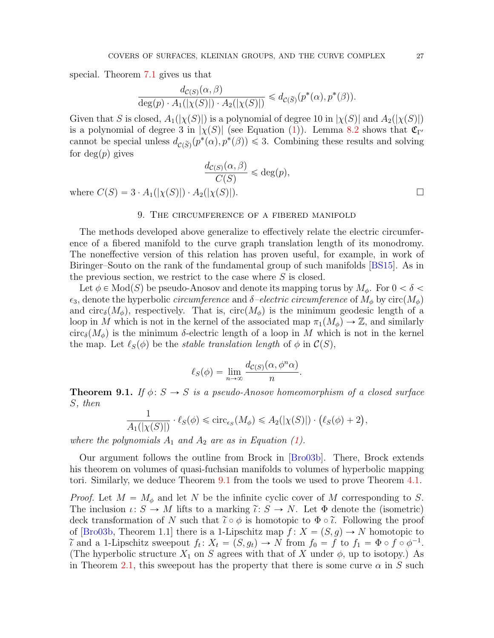special. Theorem [7.1](#page-22-0) gives us that

$$
\frac{d_{\mathcal{C}(S)}(\alpha,\beta)}{\deg(p)\cdot A_1(|\chi(S)|)\cdot A_2(|\chi(S)|)} \leq d_{\mathcal{C}(\widetilde{S})}(p^*(\alpha),p^*(\beta)).
$$

Given that S is closed,  $A_1(|\chi(S)|)$  is a polynomial of degree 10 in  $|\chi(S)|$  and  $A_2(|\chi(S)|)$ is a polynomial of degree 3 in  $|\chi(S)|$  (see Equation [\(1\)](#page-1-0)). Lemma [8.2](#page-25-2) shows that  $\mathfrak{C}_{\Gamma'}$ cannot be special unless  $d_{\mathcal{C}(\widetilde{S})}(p^*(\alpha), p^*(\beta)) \leq 3$ . Combining these results and solving for  $deg(p)$  gives

$$
\frac{d_{\mathcal{C}(S)}(\alpha,\beta)}{C(S)} \leq \deg(p),
$$

where  $C(S) = 3 \cdot A_1(|\chi(S)|) \cdot A_2(|\chi(S)|)$ .

### 9. The circumference of a fibered manifold

<span id="page-26-0"></span>The methods developed above generalize to effectively relate the electric circumference of a fibered manifold to the curve graph translation length of its monodromy. The noneffective version of this relation has proven useful, for example, in work of Biringer–Souto on the rank of the fundamental group of such manifolds [\[BS15\]](#page-28-1). As in the previous section, we restrict to the case where  $S$  is closed.

Let  $\phi \in Mod(S)$  be pseudo-Anosov and denote its mapping torus by  $M_{\phi}$ . For  $0 < \delta <$  $\epsilon_3$ , denote the hyperbolic *circumference* and  $\delta$ -electric circumference of  $M_{\phi}$  by circ $(M_{\phi})$ and circ<sub>δ</sub> $(M_{\phi})$ , respectively. That is, circ $(M_{\phi})$  is the minimum geodesic length of a loop in M which is not in the kernel of the associated map  $\pi_1(M_\phi) \to \mathbb{Z}$ , and similarly circ<sub>δ</sub> $(M_{\phi})$  is the minimum δ-electric length of a loop in M which is not in the kernel the map. Let  $\ell_S(\phi)$  be the stable translation length of  $\phi$  in  $\mathcal{C}(S)$ ,

$$
\ell_S(\phi) = \lim_{n \to \infty} \frac{d_{\mathcal{C}(S)}(\alpha, \phi^n \alpha)}{n}.
$$

<span id="page-26-1"></span>**Theorem 9.1.** If  $\phi: S \to S$  is a pseudo-Anosov homeomorphism of a closed surface S, then

$$
\frac{1}{A_1(|\chi(S)|)} \cdot \ell_S(\phi) \leq \mathrm{circ}_{\epsilon_S}(M_\phi) \leq A_2(|\chi(S)|) \cdot (\ell_S(\phi) + 2),
$$

where the polynomials  $A_1$  and  $A_2$  are as in Equation [\(1\)](#page-1-0).

Our argument follows the outline from Brock in [\[Bro03b\]](#page-28-4). There, Brock extends his theorem on volumes of quasi-fuchsian manifolds to volumes of hyperbolic mapping tori. Similarly, we deduce Theorem [9.1](#page-26-1) from the tools we used to prove Theorem [4.1.](#page-13-0)

*Proof.* Let  $M = M_{\phi}$  and let N be the infinite cyclic cover of M corresponding to S. The inclusion  $\iota: S \to M$  lifts to a marking  $\tilde{\iota}: S \to N$ . Let  $\Phi$  denote the (isometric) deck transformation of N such that  $\tilde{\iota} \circ \phi$  is homotopic to  $\Phi \circ \tilde{\iota}$ . Following the proof of [\[Bro03b,](#page-28-4) Theorem 1.1] there is a 1-Lipschitz map  $f: X = (S, g) \rightarrow N$  homotopic to  $\tilde{\iota}$  and a 1-Lipschitz sweepout  $f_t: X_t = (S, g_t) \to N$  from  $f_0 = f$  to  $f_1 = \Phi \circ f \circ \phi^{-1}$ . (The hyperbolic structure  $X_1$  on S agrees with that of X under  $\phi$ , up to isotopy.) As in Theorem [2.1,](#page-6-1) this sweepout has the property that there is some curve  $\alpha$  in S such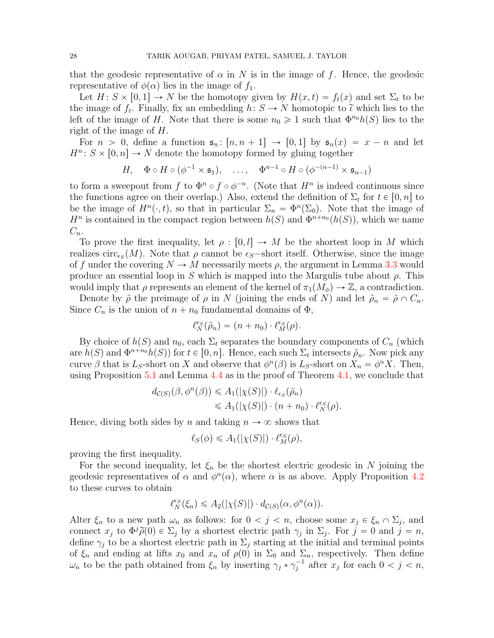that the geodesic representative of  $\alpha$  in N is in the image of f. Hence, the geodesic representative of  $\phi(\alpha)$  lies in the image of  $f_1$ .

Let  $H: S \times [0, 1] \to N$  be the homotopy given by  $H(x, t) = f_t(x)$  and set  $\Sigma_t$  to be the image of  $f_t$ . Finally, fix an embedding  $h: S \to N$  homotopic to  $\tilde{\iota}$  which lies to the left of the image of H. Note that there is some  $n_0 \geq 1$  such that  $\Phi^{n_0} h(S)$  lies to the right of the image of H.

For  $n > 0$ , define a function  $\mathfrak{s}_n : [n, n + 1] \to [0, 1]$  by  $\mathfrak{s}_n(x) = x - n$  and let  $H^n: S \times [0, n] \to N$  denote the homotopy formed by gluing together

$$
H, \quad \Phi \circ H \circ (\phi^{-1} \times \mathfrak{s}_1), \quad \ldots, \quad \Phi^{n-1} \circ H \circ (\phi^{-(n-1)} \times \mathfrak{s}_{n-1})
$$

to form a sweepout from f to  $\Phi^n \circ f \circ \phi^{-n}$ . (Note that  $H^n$  is indeed continuous since the functions agree on their overlap.) Also, extend the definition of  $\Sigma_t$  for  $t \in [0, n]$  to be the image of  $H^n(\cdot, t)$ , so that in particular  $\Sigma_n = \Phi^n(\Sigma_0)$ . Note that the image of  $H^n$  is contained in the compact region between  $h(S)$  and  $\Phi^{n+n_0}(h(S))$ , which we name  $C_n$ .

To prove the first inequality, let  $\rho : [0, l] \to M$  be the shortest loop in M which realizes circ<sub> $\epsilon_s(M)$ </sub>. Note that  $\rho$  cannot be  $\epsilon_s$ -short itself. Otherwise, since the image of f under the covering  $N \to M$  necessarily meets  $\rho$ , the argument in Lemma [3.3](#page-9-3) would produce an essential loop in S which is mapped into the Margulis tube about  $\rho$ . This would imply that  $\rho$  represents an element of the kernel of  $\pi_1(M_\phi) \to \mathbb{Z}$ , a contradiction.

Denote by  $\tilde{\rho}$  the preimage of  $\rho$  in N (joining the ends of N) and let  $\tilde{\rho}_n = \tilde{\rho} \cap C_n$ . Since  $C_n$  is the union of  $n + n_0$  fundamental domains of  $\Phi$ ,

$$
\ell_N^{\epsilon_S}(\tilde{\rho}_n) = (n + n_0) \cdot \ell_M^{\epsilon_S}(\rho).
$$

By choice of  $h(S)$  and  $n_0$ , each  $\Sigma_t$  separates the boundary components of  $C_n$  (which are  $h(S)$  and  $\Phi^{n+n_0}h(S)$  for  $t \in [0, n]$ . Hence, each such  $\Sigma_t$  intersects  $\tilde{\rho}_n$ . Now pick any curve  $\beta$  that is L<sub>S</sub>-short on X and observe that  $\phi^n(\beta)$  is L<sub>S</sub>-short on  $X_n = \phi^n X$ . Then, using Proposition [5.1](#page-17-1) and Lemma [4.4](#page-15-1) as in the proof of Theorem [4.1,](#page-13-0) we conclude that

$$
d_{\mathcal{C}(S)}(\beta, \phi^n(\beta)) \leq A_1(|\chi(S)|) \cdot \ell_{\epsilon_S}(\tilde{\rho}_n)
$$
  

$$
\leq A_1(|\chi(S)|) \cdot (n + n_0) \cdot \ell_N^{\epsilon_S}(\rho).
$$

Hence, diving both sides by n and taking  $n \to \infty$  shows that

$$
\ell_S(\phi) \leq A_1(|\chi(S)|) \cdot \ell_M^{\epsilon_S}(\rho),
$$

proving the first inequality.

For the second inequality, let  $\xi_n$  be the shortest electric geodesic in N joining the geodesic representatives of  $\alpha$  and  $\phi^{n}(\alpha)$ , where  $\alpha$  is as above. Apply Proposition [4.2](#page-13-2) to these curves to obtain

$$
\ell_N^{\epsilon_S}(\xi_n) \leq A_2(|\chi(S)|) \cdot d_{\mathcal{C}(S)}(\alpha, \phi^n(\alpha)).
$$

Alter  $\xi_n$  to a new path  $\omega_n$  as follows: for  $0 < j < n$ , choose some  $x_j \in \xi_n \cap \Sigma_j$ , and connect  $x_j$  to  $\Phi^j \widetilde{\rho}(0) \in \Sigma_j$  by a shortest electric path  $\gamma_j$  in  $\Sigma_j$ . For  $j = 0$  and  $j = n$ , define  $\gamma_i$  to be a shortest electric path in  $\Sigma_i$  starting at the initial and terminal points of  $\xi_n$  and ending at lifts  $x_0$  and  $x_n$  of  $\rho(0)$  in  $\Sigma_0$  and  $\Sigma_n$ , respectively. Then define  $\omega_n$  to be the path obtained from  $\xi_n$  by inserting  $\gamma_j * \gamma_j^{-1}$  after  $x_j$  for each  $0 < j < n$ ,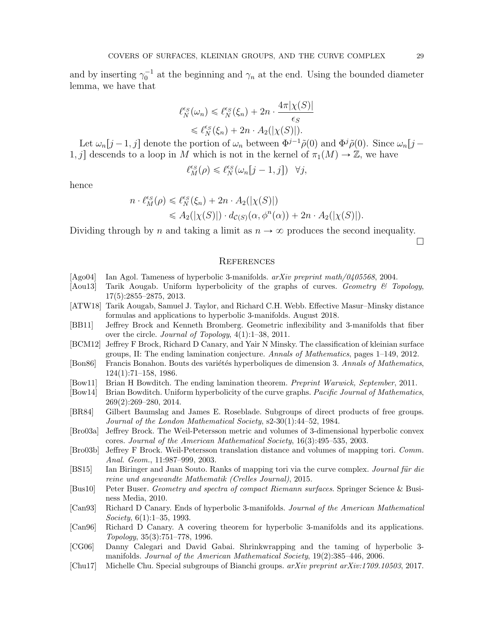and by inserting  $\gamma_0^{-1}$  at the beginning and  $\gamma_n$  at the end. Using the bounded diameter lemma, we have that

$$
\ell_N^{\epsilon_S}(\omega_n) \leq \ell_N^{\epsilon_S}(\xi_n) + 2n \cdot \frac{4\pi |\chi(S)|}{\epsilon_S}
$$
  

$$
\leq \ell_N^{\epsilon_S}(\xi_n) + 2n \cdot A_2(|\chi(S)|).
$$

Let  $\omega_n[j-1,j]$  denote the portion of  $\omega_n$  between  $\Phi^{j-1}\tilde{\rho}(0)$  and  $\Phi^j\tilde{\rho}(0)$ . Since  $\omega_n[j-1]$ 1, j descends to a loop in M which is not in the kernel of  $\pi_1(M) \to \mathbb{Z}$ , we have

$$
\ell_M^{\epsilon_S}(\rho) \leqslant \ell_N^{\epsilon_S}(\omega_n[j-1,j]) \quad \forall j,
$$

hence

$$
n \cdot \ell_M^{\epsilon_S}(\rho) \leq \ell_N^{\epsilon_S}(\xi_n) + 2n \cdot A_2(|\chi(S)|)
$$
  

$$
\leq A_2(|\chi(S)|) \cdot d_{\mathcal{C}(S)}(\alpha, \phi^n(\alpha)) + 2n \cdot A_2(|\chi(S)|).
$$

Dividing through by n and taking a limit as  $n \to \infty$  produces the second inequality.

 $\Box$ 

#### **REFERENCES**

- <span id="page-28-11"></span>[Ago04] Ian Agol. Tameness of hyperbolic 3-manifolds. arXiv preprint math/0405568, 2004.
- <span id="page-28-15"></span>[Aou13] Tarik Aougab. Uniform hyperbolicity of the graphs of curves. Geometry & Topology, 17(5):2855–2875, 2013.
- <span id="page-28-5"></span>[ATW18] Tarik Aougab, Samuel J. Taylor, and Richard C.H. Webb. Effective Masur–Minsky distance formulas and applications to hyperbolic 3-manifolds. August 2018.
- <span id="page-28-2"></span>[BB11] Jeffrey Brock and Kenneth Bromberg. Geometric inflexibility and 3-manifolds that fiber over the circle. Journal of Topology, 4(1):1–38, 2011.
- <span id="page-28-13"></span>[BCM12] Jeffrey F Brock, Richard D Canary, and Yair N Minsky. The classification of kleinian surface groups, II: The ending lamination conjecture. Annals of Mathematics, pages 1–149, 2012.
- <span id="page-28-9"></span>[Bon86] Francis Bonahon. Bouts des variétés hyperboliques de dimension 3. Annals of Mathematics, 124(1):71–158, 1986.
- <span id="page-28-0"></span>[Bow11] Brian H Bowditch. The ending lamination theorem. Preprint Warwick, September, 2011.
- <span id="page-28-7"></span>[Bow14] Brian Bowditch. Uniform hyperbolicity of the curve graphs. Pacific Journal of Mathematics, 269(2):269–280, 2014.
- <span id="page-28-16"></span>[BR84] Gilbert Baumslag and James E. Roseblade. Subgroups of direct products of free groups. Journal of the London Mathematical Society, s2-30(1):44–52, 1984.
- <span id="page-28-3"></span>[Bro03a] Jeffrey Brock. The Weil-Petersson metric and volumes of 3-dimensional hyperbolic convex cores. Journal of the American Mathematical Society, 16(3):495–535, 2003.
- <span id="page-28-4"></span>[Bro03b] Jeffrey F Brock. Weil-Petersson translation distance and volumes of mapping tori. Comm. Anal. Geom., 11:987–999, 2003.
- <span id="page-28-1"></span>[BS15] Ian Biringer and Juan Souto. Ranks of mapping tori via the curve complex. Journal für die reine und angewandte Mathematik (Crelles Journal), 2015.
- <span id="page-28-8"></span>[Bus10] Peter Buser. Geometry and spectra of compact Riemann surfaces. Springer Science & Business Media, 2010.
- <span id="page-28-10"></span>[Can93] Richard D Canary. Ends of hyperbolic 3-manifolds. Journal of the American Mathematical Society, 6(1):1–35, 1993.
- <span id="page-28-14"></span>[Can96] Richard D Canary. A covering theorem for hyperbolic 3-manifolds and its applications. Topology, 35(3):751–778, 1996.
- <span id="page-28-12"></span>[CG06] Danny Calegari and David Gabai. Shrinkwrapping and the taming of hyperbolic 3 manifolds. Journal of the American Mathematical Society, 19(2):385–446, 2006.
- <span id="page-28-6"></span>[Chu17] Michelle Chu. Special subgroups of Bianchi groups. arXiv preprint arXiv:1709.10503, 2017.